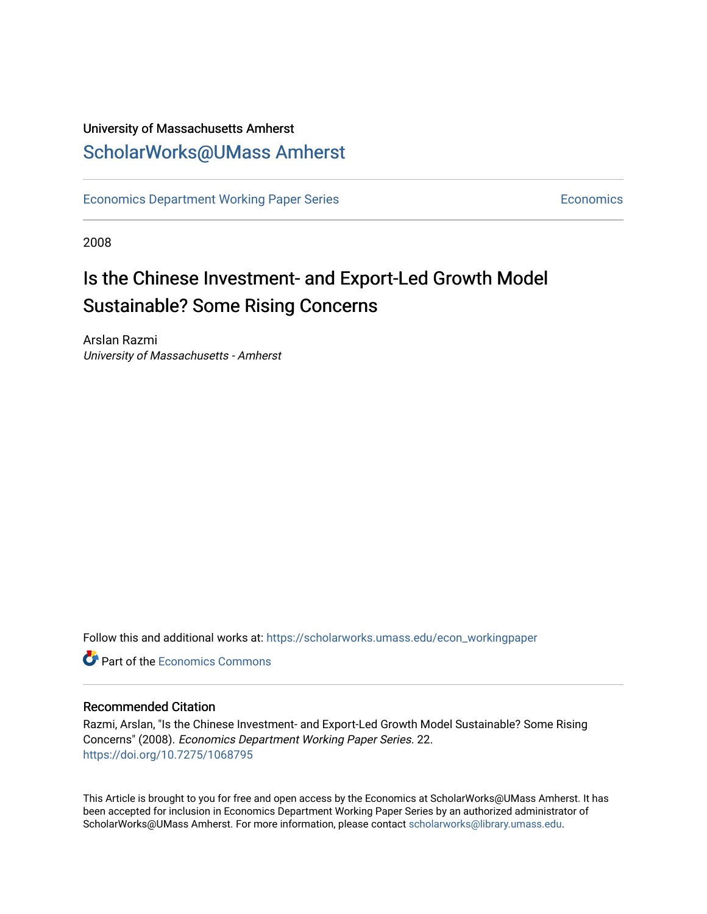## University of Massachusetts Amherst [ScholarWorks@UMass Amherst](https://scholarworks.umass.edu/)

[Economics Department Working Paper Series](https://scholarworks.umass.edu/econ_workingpaper) **Economics** Economics

2008

## Is the Chinese Investment- and Export-Led Growth Model Sustainable? Some Rising Concerns

Arslan Razmi University of Massachusetts - Amherst

Follow this and additional works at: [https://scholarworks.umass.edu/econ\\_workingpaper](https://scholarworks.umass.edu/econ_workingpaper?utm_source=scholarworks.umass.edu%2Fecon_workingpaper%2F22&utm_medium=PDF&utm_campaign=PDFCoverPages) 

**C** Part of the [Economics Commons](http://network.bepress.com/hgg/discipline/340?utm_source=scholarworks.umass.edu%2Fecon_workingpaper%2F22&utm_medium=PDF&utm_campaign=PDFCoverPages)

#### Recommended Citation

Razmi, Arslan, "Is the Chinese Investment- and Export-Led Growth Model Sustainable? Some Rising Concerns" (2008). Economics Department Working Paper Series. 22. <https://doi.org/10.7275/1068795>

This Article is brought to you for free and open access by the Economics at ScholarWorks@UMass Amherst. It has been accepted for inclusion in Economics Department Working Paper Series by an authorized administrator of ScholarWorks@UMass Amherst. For more information, please contact [scholarworks@library.umass.edu.](mailto:scholarworks@library.umass.edu)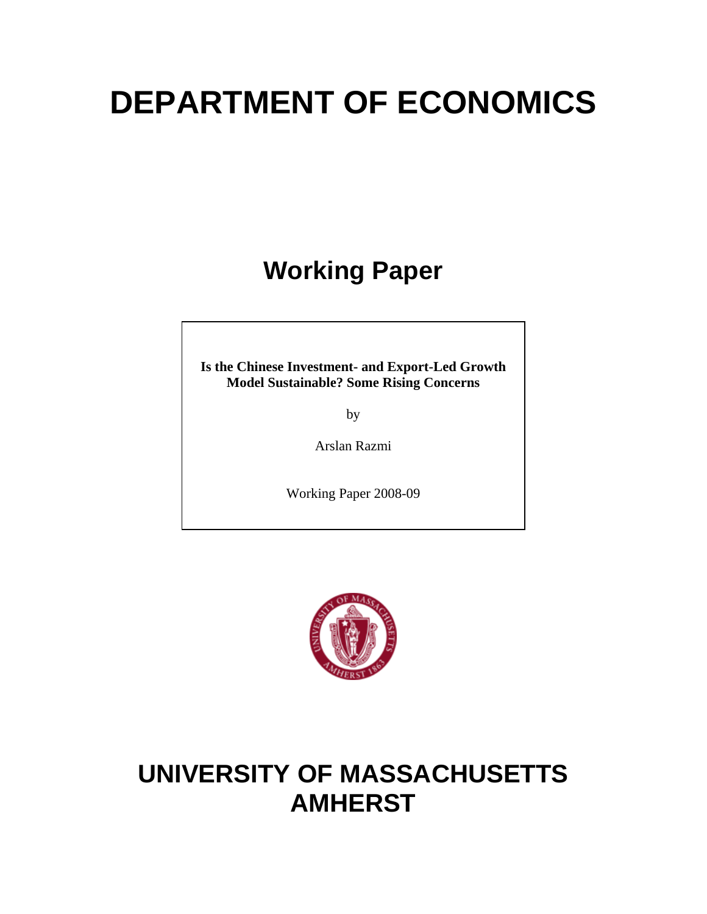# **DEPARTMENT OF ECONOMICS**

## **Working Paper**

**Is the Chinese Investment- and Export-Led Growth Model Sustainable? Some Rising Concerns** 

by

Arslan Razmi

Working Paper 2008-09



## **UNIVERSITY OF MASSACHUSETTS AMHERST**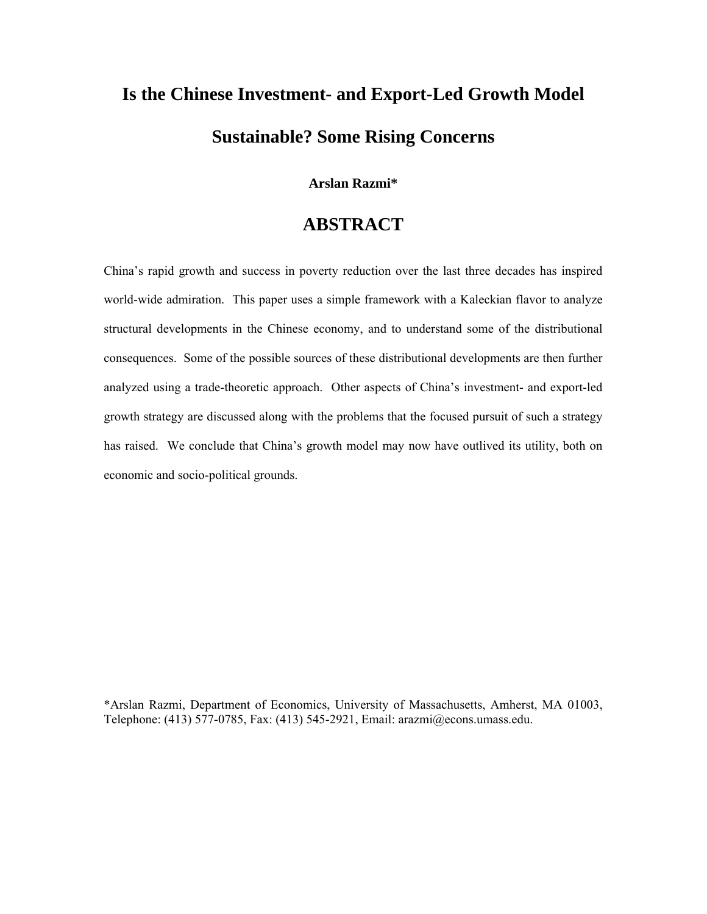## **Is the Chinese Investment- and Export-Led Growth Model Sustainable? Some Rising Concerns**

**Arslan Razmi\*** 

## **ABSTRACT**

China's rapid growth and success in poverty reduction over the last three decades has inspired world-wide admiration. This paper uses a simple framework with a Kaleckian flavor to analyze structural developments in the Chinese economy, and to understand some of the distributional consequences. Some of the possible sources of these distributional developments are then further analyzed using a trade-theoretic approach. Other aspects of China's investment- and export-led growth strategy are discussed along with the problems that the focused pursuit of such a strategy has raised. We conclude that China's growth model may now have outlived its utility, both on economic and socio-political grounds.

\*Arslan Razmi, Department of Economics, University of Massachusetts, Amherst, MA 01003, Telephone: (413) 577-0785, Fax: (413) 545-2921, Email: arazmi@econs.umass.edu.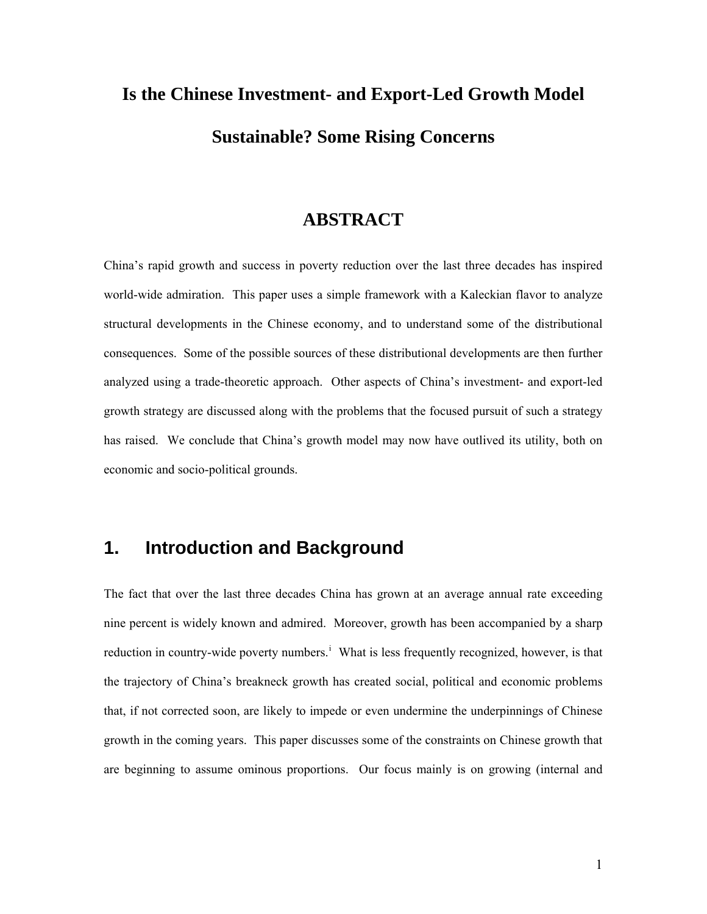## **Is the Chinese Investment- and Export-Led Growth Model Sustainable? Some Rising Concerns**

#### **ABSTRACT**

China's rapid growth and success in poverty reduction over the last three decades has inspired world-wide admiration. This paper uses a simple framework with a Kaleckian flavor to analyze structural developments in the Chinese economy, and to understand some of the distributional consequences. Some of the possible sources of these distributional developments are then further analyzed using a trade-theoretic approach. Other aspects of China's investment- and export-led growth strategy are discussed along with the problems that the focused pursuit of such a strategy has raised. We conclude that China's growth model may now have outlived its utility, both on economic and socio-political grounds.

## **1. Introduction and Background**

The fact that over the last three decades China has grown at an average annual rate exceeding nine percent is widely known and admired. Moreover, growth has been accompanied by a sharp reduct[i](#page-32-0)on in country-wide poverty numbers.<sup>i</sup> What is less frequently recognized, however, is that the trajectory of China's breakneck growth has created social, political and economic problems that, if not corrected soon, are likely to impede or even undermine the underpinnings of Chinese growth in the coming years. This paper discusses some of the constraints on Chinese growth that are beginning to assume ominous proportions. Our focus mainly is on growing (internal and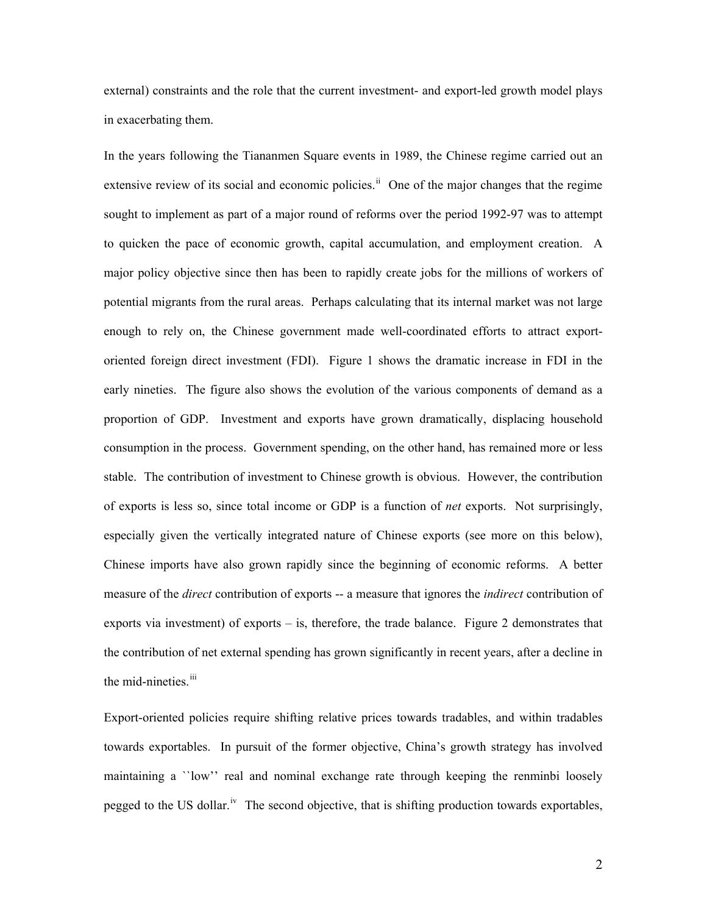external) constraints and the role that the current investment- and export-led growth model plays in exacerbating them.

In the years following the Tiananmen Square events in 1989, the Chinese regime carried out an extensive review of its social and economic policies.<sup>[ii](#page-32-1)</sup> One of the major changes that the regime sought to implement as part of a major round of reforms over the period 1992-97 was to attempt to quicken the pace of economic growth, capital accumulation, and employment creation. A major policy objective since then has been to rapidly create jobs for the millions of workers of potential migrants from the rural areas. Perhaps calculating that its internal market was not large enough to rely on, the Chinese government made well-coordinated efforts to attract exportoriented foreign direct investment (FDI). Figure 1 shows the dramatic increase in FDI in the early nineties. The figure also shows the evolution of the various components of demand as a proportion of GDP. Investment and exports have grown dramatically, displacing household consumption in the process. Government spending, on the other hand, has remained more or less stable. The contribution of investment to Chinese growth is obvious. However, the contribution of exports is less so, since total income or GDP is a function of *net* exports. Not surprisingly, especially given the vertically integrated nature of Chinese exports (see more on this below), Chinese imports have also grown rapidly since the beginning of economic reforms. A better measure of the *direct* contribution of exports -- a measure that ignores the *indirect* contribution of exports via investment) of exports – is, therefore, the trade balance. Figure 2 demonstrates that the contribution of net external spending has grown significantly in recent years, after a decline in the mid-nineties.<sup>[iii](#page-32-1)</sup>

Export-oriented policies require shifting relative prices towards tradables, and within tradables towards exportables. In pursuit of the former objective, China's growth strategy has involved maintaining a ``low'' real and nominal exchange rate through keeping the renminbi loosely pegged to the US dollar.<sup>[iv](#page-32-1)</sup> The second objective, that is shifting production towards exportables,

2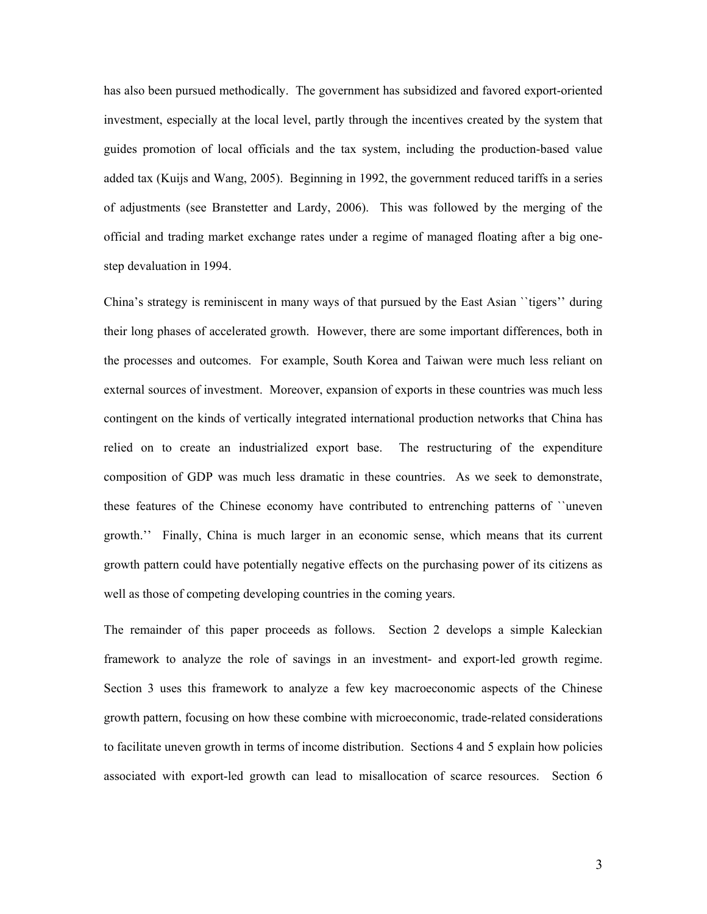has also been pursued methodically. The government has subsidized and favored export-oriented investment, especially at the local level, partly through the incentives created by the system that guides promotion of local officials and the tax system, including the production-based value added tax (Kuijs and Wang, 2005). Beginning in 1992, the government reduced tariffs in a series of adjustments (see Branstetter and Lardy, 2006). This was followed by the merging of the official and trading market exchange rates under a regime of managed floating after a big onestep devaluation in 1994.

China's strategy is reminiscent in many ways of that pursued by the East Asian ``tigers'' during their long phases of accelerated growth. However, there are some important differences, both in the processes and outcomes. For example, South Korea and Taiwan were much less reliant on external sources of investment. Moreover, expansion of exports in these countries was much less contingent on the kinds of vertically integrated international production networks that China has relied on to create an industrialized export base. The restructuring of the expenditure composition of GDP was much less dramatic in these countries. As we seek to demonstrate, these features of the Chinese economy have contributed to entrenching patterns of ``uneven growth.'' Finally, China is much larger in an economic sense, which means that its current growth pattern could have potentially negative effects on the purchasing power of its citizens as well as those of competing developing countries in the coming years.

The remainder of this paper proceeds as follows. Section 2 develops a simple Kaleckian framework to analyze the role of savings in an investment- and export-led growth regime. Section 3 uses this framework to analyze a few key macroeconomic aspects of the Chinese growth pattern, focusing on how these combine with microeconomic, trade-related considerations to facilitate uneven growth in terms of income distribution. Sections 4 and 5 explain how policies associated with export-led growth can lead to misallocation of scarce resources. Section 6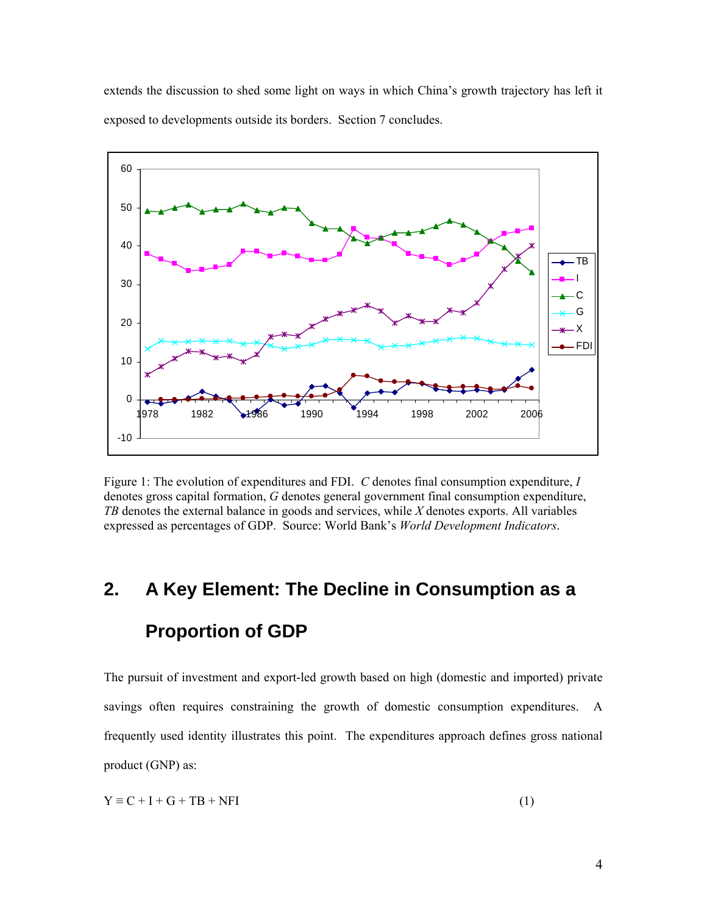extends the discussion to shed some light on ways in which China's growth trajectory has left it exposed to developments outside its borders. Section 7 concludes.



Figure 1: The evolution of expenditures and FDI. *C* denotes final consumption expenditure, *I* denotes gross capital formation, *G* denotes general government final consumption expenditure, *TB* denotes the external balance in goods and services, while *X* denotes exports. All variables expressed as percentages of GDP. Source: World Bank's *World Development Indicators*.

## **2. A Key Element: The Decline in Consumption as a Proportion of GDP**

The pursuit of investment and export-led growth based on high (domestic and imported) private savings often requires constraining the growth of domestic consumption expenditures. A frequently used identity illustrates this point. The expenditures approach defines gross national product (GNP) as:

$$
Y \equiv C + I + G + TB + NFI
$$
 (1)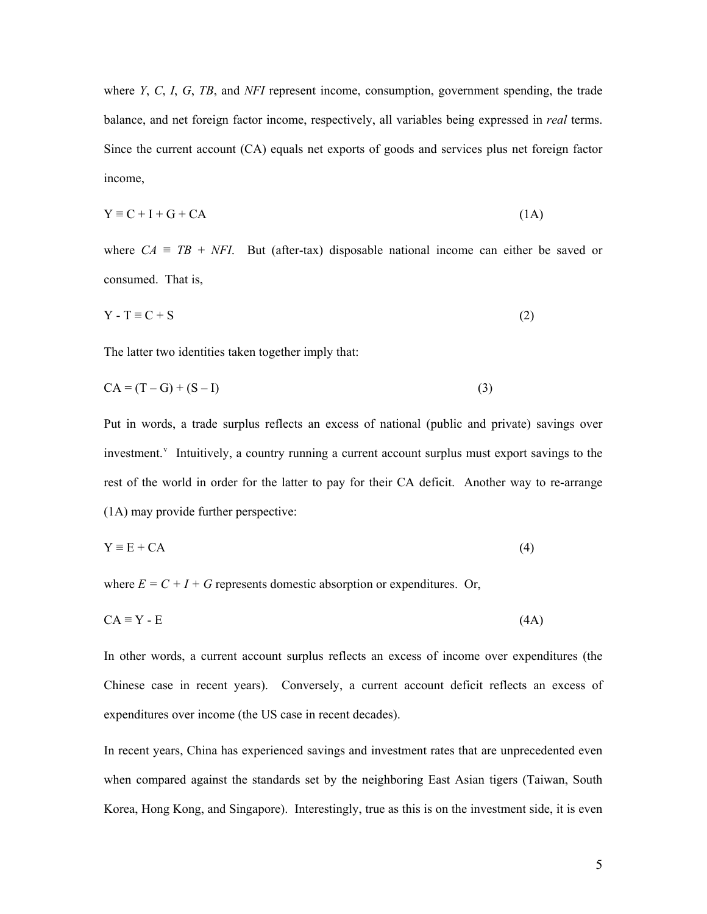where *Y*, *C*, *I*, *G*, *TB*, and *NFI* represent income, consumption, government spending, the trade balance, and net foreign factor income, respectively, all variables being expressed in *real* terms. Since the current account (CA) equals net exports of goods and services plus net foreign factor income,

$$
Y \equiv C + I + G + CA \tag{1A}
$$

where  $CA \equiv TB + NFI$ . But (after-tax) disposable national income can either be saved or consumed. That is,

$$
Y - T \equiv C + S \tag{2}
$$

The latter two identities taken together imply that:

$$
CA = (T - G) + (S - I)
$$
\n
$$
(3)
$$

Put in words, a trade surplus reflects an excess of national (public and private) savings over in[v](#page-32-1)estment.<sup>v</sup> Intuitively, a country running a current account surplus must export savings to the rest of the world in order for the latter to pay for their CA deficit. Another way to re-arrange (1A) may provide further perspective:

$$
Y \equiv E + CA \tag{4}
$$

where  $E = C + I + G$  represents domestic absorption or expenditures. Or,

$$
CA \equiv Y - E \tag{4A}
$$

In other words, a current account surplus reflects an excess of income over expenditures (the Chinese case in recent years). Conversely, a current account deficit reflects an excess of expenditures over income (the US case in recent decades).

In recent years, China has experienced savings and investment rates that are unprecedented even when compared against the standards set by the neighboring East Asian tigers (Taiwan, South Korea, Hong Kong, and Singapore). Interestingly, true as this is on the investment side, it is even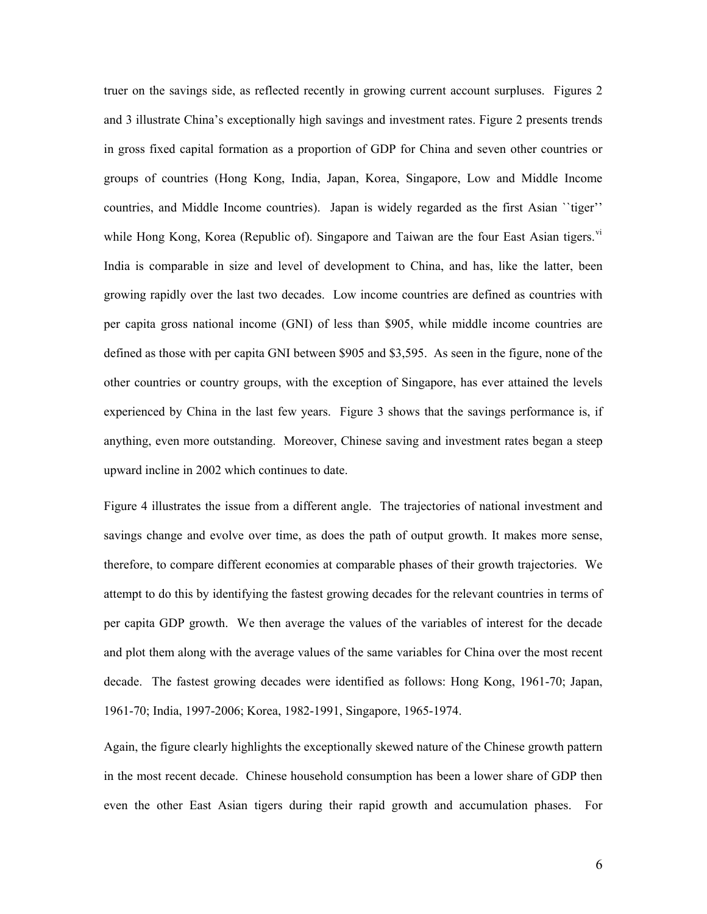truer on the savings side, as reflected recently in growing current account surpluses. Figures 2 and 3 illustrate China's exceptionally high savings and investment rates. Figure 2 presents trends in gross fixed capital formation as a proportion of GDP for China and seven other countries or groups of countries (Hong Kong, India, Japan, Korea, Singapore, Low and Middle Income countries, and Middle Income countries). Japan is widely regarded as the first Asian ``tiger'' while Hong Kong, Korea (Republic of). Singapore and Taiwan are the four East Asian tigers.  $\dot{v}$ India is comparable in size and level of development to China, and has, like the latter, been growing rapidly over the last two decades. Low income countries are defined as countries with per capita gross national income (GNI) of less than \$905, while middle income countries are defined as those with per capita GNI between \$905 and \$3,595. As seen in the figure, none of the other countries or country groups, with the exception of Singapore, has ever attained the levels experienced by China in the last few years. Figure 3 shows that the savings performance is, if anything, even more outstanding. Moreover, Chinese saving and investment rates began a steep upward incline in 2002 which continues to date.

Figure 4 illustrates the issue from a different angle. The trajectories of national investment and savings change and evolve over time, as does the path of output growth. It makes more sense, therefore, to compare different economies at comparable phases of their growth trajectories. We attempt to do this by identifying the fastest growing decades for the relevant countries in terms of per capita GDP growth. We then average the values of the variables of interest for the decade and plot them along with the average values of the same variables for China over the most recent decade. The fastest growing decades were identified as follows: Hong Kong, 1961-70; Japan, 1961-70; India, 1997-2006; Korea, 1982-1991, Singapore, 1965-1974.

Again, the figure clearly highlights the exceptionally skewed nature of the Chinese growth pattern in the most recent decade. Chinese household consumption has been a lower share of GDP then even the other East Asian tigers during their rapid growth and accumulation phases. For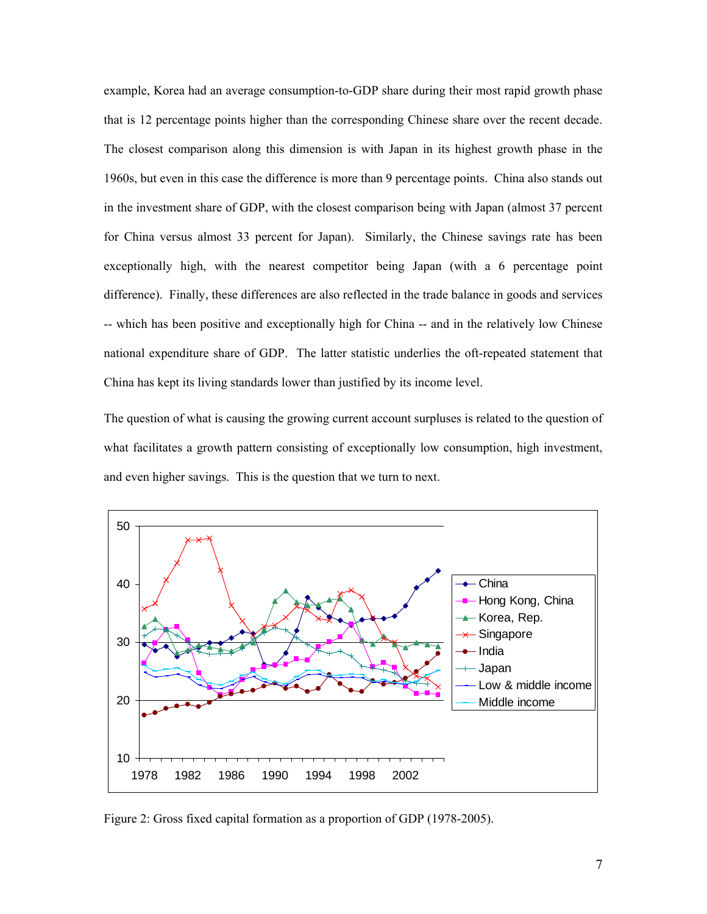example, Korea had an average consumption-to-GDP share during their most rapid growth phase that is 12 percentage points higher than the corresponding Chinese share over the recent decade. The closest comparison along this dimension is with Japan in its highest growth phase in the 1960s, but even in this case the difference is more than 9 percentage points. China also stands out in the investment share of GDP, with the closest comparison being with Japan (almost 37 percent for China versus almost 33 percent for Japan). Similarly, the Chinese savings rate has been exceptionally high, with the nearest competitor being Japan (with a 6 percentage point difference). Finally, these differences are also reflected in the trade balance in goods and services -- which has been positive and exceptionally high for China -- and in the relatively low Chinese national expenditure share of GDP. The latter statistic underlies the oft-repeated statement that China has kept its living standards lower than justified by its income level.

The question of what is causing the growing current account surpluses is related to the question of what facilitates a growth pattern consisting of exceptionally low consumption, high investment, and even higher savings. This is the question that we turn to next.



Figure 2: Gross fixed capital formation as a proportion of GDP (1978-2005).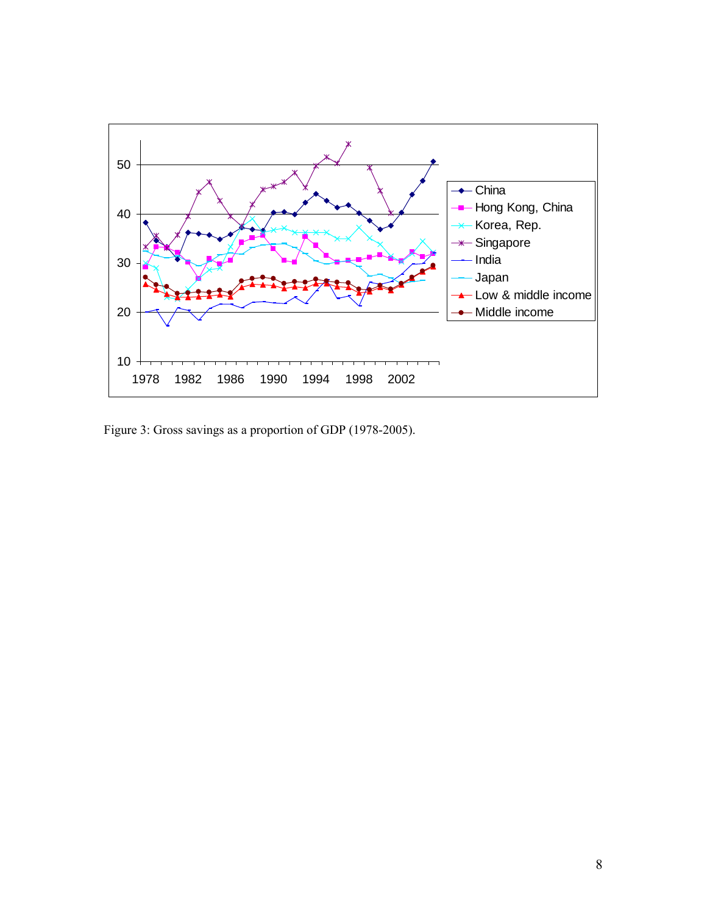

Figure 3: Gross savings as a proportion of GDP (1978-2005).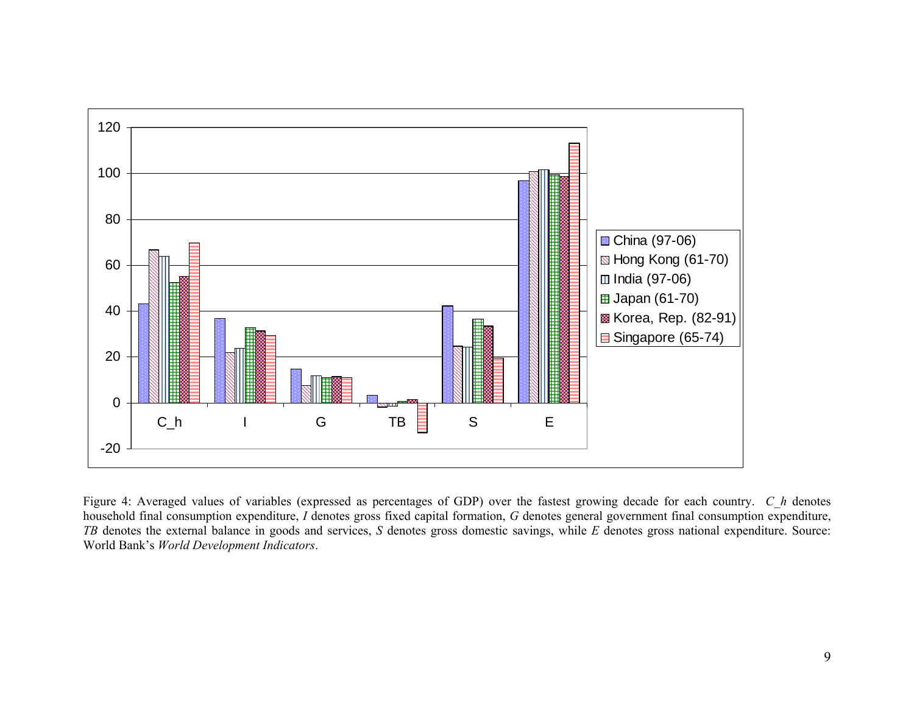

Figure 4: Averaged values of variables (expressed as percentages of GDP) over the fastest growing decade for each country. *C\_h* denotes household final consumption expenditure, *I* denotes gross fixed capital formation, *G* denotes general government final consumption expenditure, *TB* denotes the external balance in goods and services, *S* denotes gross domestic savings, while *E* denotes gross national expenditure. Source: World Bank's *World Development Indicators*.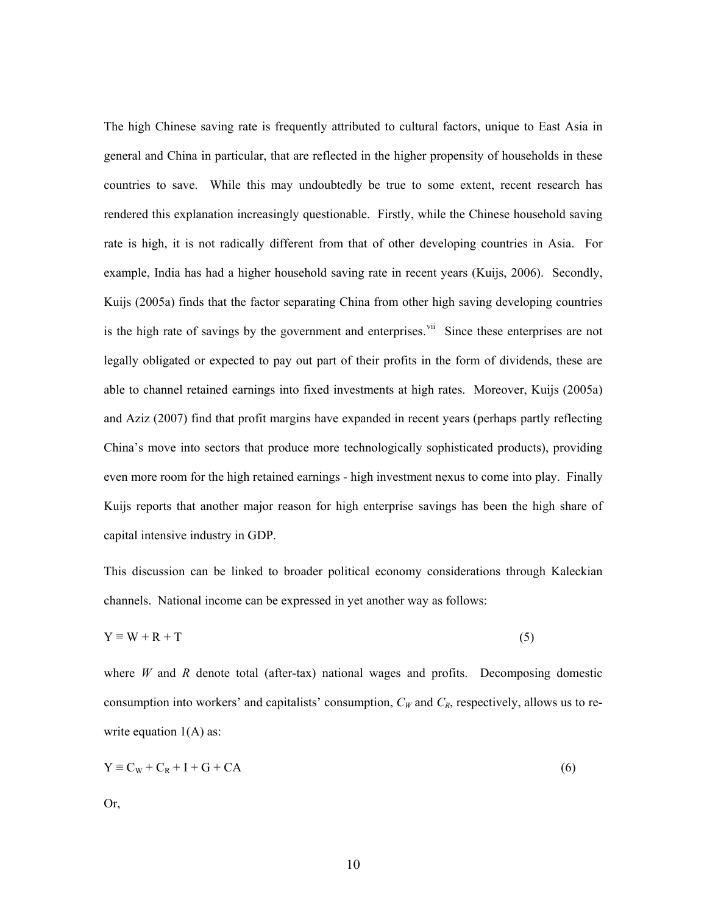The high Chinese saving rate is frequently attributed to cultural factors, unique to East Asia in general and China in particular, that are reflected in the higher propensity of households in these countries to save. While this may undoubtedly be true to some extent, recent research has rendered this explanation increasingly questionable. Firstly, while the Chinese household saving rate is high, it is not radically different from that of other developing countries in Asia. For example, India has had a higher household saving rate in recent years (Kuijs, 2006). Secondly, Kuijs (2005a) finds that the factor separating China from other high saving developing countries is the high rate of savings by the government and enterprises.  $\frac{v}{v}$  Since these enterprises are not legally obligated or expected to pay out part of their profits in the form of dividends, these are able to channel retained earnings into fixed investments at high rates. Moreover, Kuijs (2005a) and Aziz (2007) find that profit margins have expanded in recent years (perhaps partly reflecting China's move into sectors that produce more technologically sophisticated products), providing even more room for the high retained earnings - high investment nexus to come into play. Finally Kuijs reports that another major reason for high enterprise savings has been the high share of capital intensive industry in GDP.

This discussion can be linked to broader political economy considerations through Kaleckian channels. National income can be expressed in yet another way as follows:

$$
Y \equiv W + R + T \tag{5}
$$

where *W* and *R* denote total (after-tax) national wages and profits. Decomposing domestic consumption into workers' and capitalists' consumption,  $C_W$  and  $C_R$ , respectively, allows us to rewrite equation  $1(A)$  as:

$$
Y \equiv C_W + C_R + I + G + CA \tag{6}
$$

Or,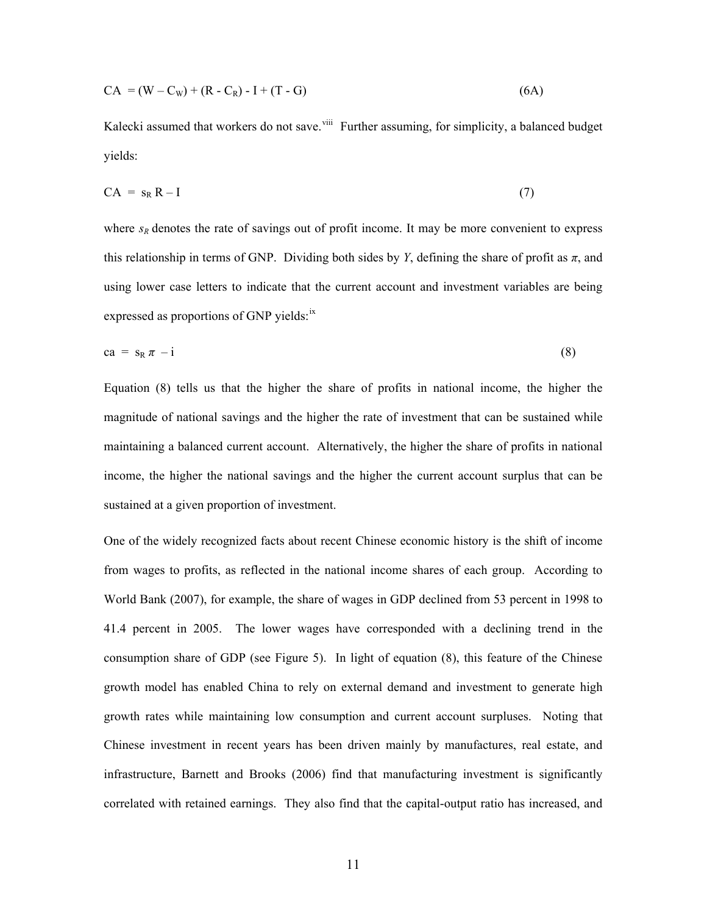$$
CA = (W - C_W) + (R - C_R) - I + (T - G)
$$
\n(6A)

Kalecki assumed that workers do not save.<sup>[viii](#page-32-1)</sup> Further assuming, for simplicity, a balanced budget yields:

$$
CA = s_R R - I \tag{7}
$$

where  $s_R$  denotes the rate of savings out of profit income. It may be more convenient to express this relationship in terms of GNP. Dividing both sides by *Y*, defining the share of profit as  $\pi$ , and using lower case letters to indicate that the current account and investment variables are being expressed as proportions of GNP yields:<sup>[ix](#page-32-1)</sup>

$$
ca = s_R \pi - i \tag{8}
$$

Equation (8) tells us that the higher the share of profits in national income, the higher the magnitude of national savings and the higher the rate of investment that can be sustained while maintaining a balanced current account. Alternatively, the higher the share of profits in national income, the higher the national savings and the higher the current account surplus that can be sustained at a given proportion of investment.

One of the widely recognized facts about recent Chinese economic history is the shift of income from wages to profits, as reflected in the national income shares of each group. According to World Bank (2007), for example, the share of wages in GDP declined from 53 percent in 1998 to 41.4 percent in 2005. The lower wages have corresponded with a declining trend in the consumption share of GDP (see Figure 5). In light of equation (8), this feature of the Chinese growth model has enabled China to rely on external demand and investment to generate high growth rates while maintaining low consumption and current account surpluses. Noting that Chinese investment in recent years has been driven mainly by manufactures, real estate, and infrastructure, Barnett and Brooks (2006) find that manufacturing investment is significantly correlated with retained earnings. They also find that the capital-output ratio has increased, and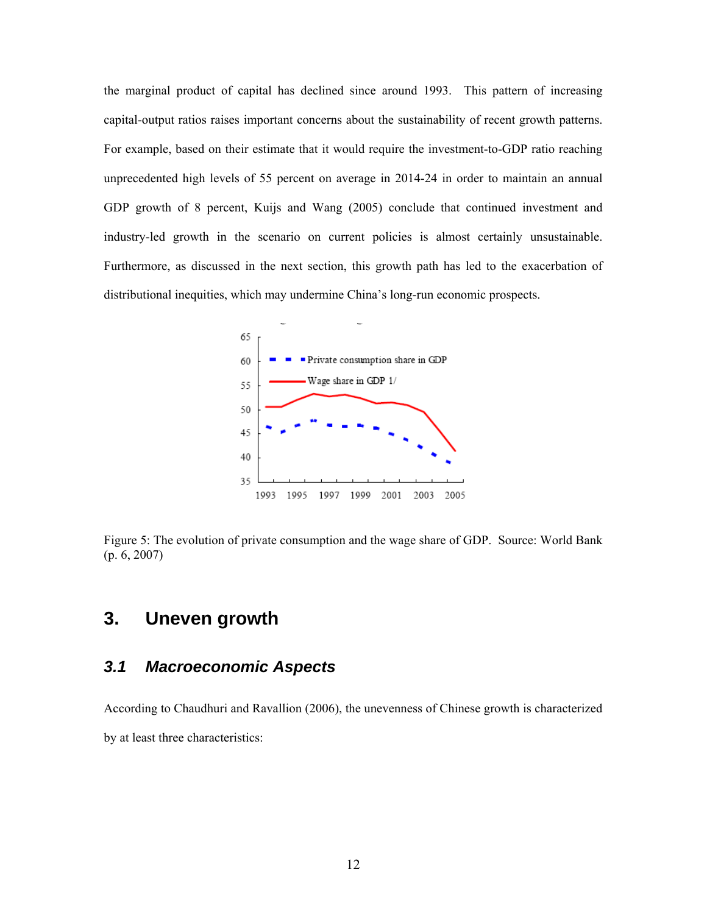the marginal product of capital has declined since around 1993. This pattern of increasing capital-output ratios raises important concerns about the sustainability of recent growth patterns. For example, based on their estimate that it would require the investment-to-GDP ratio reaching unprecedented high levels of 55 percent on average in 2014-24 in order to maintain an annual GDP growth of 8 percent, Kuijs and Wang (2005) conclude that continued investment and industry-led growth in the scenario on current policies is almost certainly unsustainable. Furthermore, as discussed in the next section, this growth path has led to the exacerbation of distributional inequities, which may undermine China's long-run economic prospects.



Figure 5: The evolution of private consumption and the wage share of GDP. Source: World Bank (p. 6, 2007)

## **3. Uneven growth**

#### *3.1 Macroeconomic Aspects*

According to Chaudhuri and Ravallion (2006), the unevenness of Chinese growth is characterized by at least three characteristics: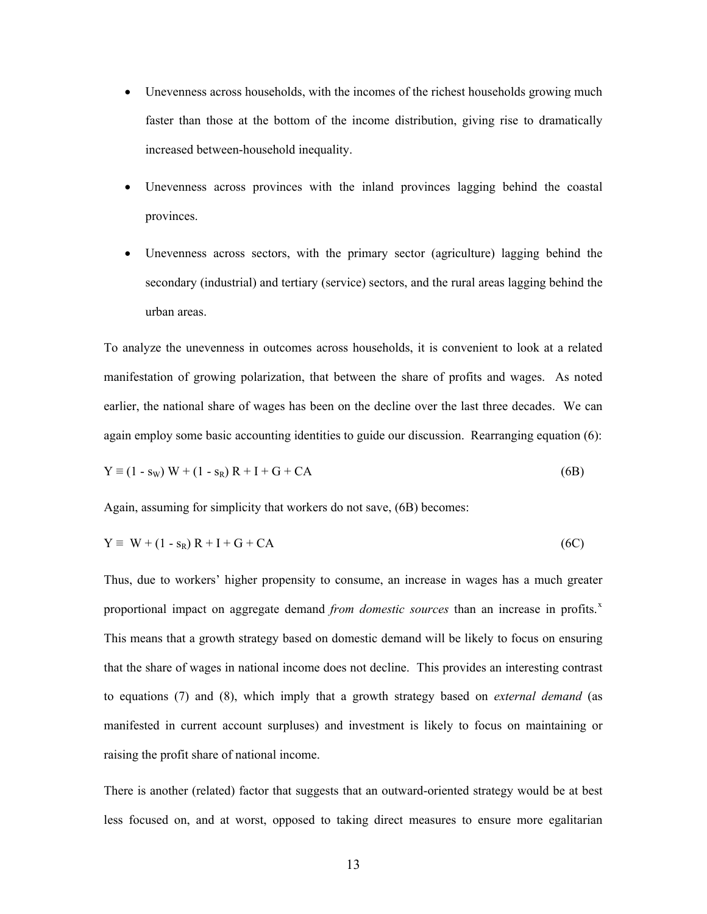- Unevenness across households, with the incomes of the richest households growing much faster than those at the bottom of the income distribution, giving rise to dramatically increased between-household inequality.
- Unevenness across provinces with the inland provinces lagging behind the coastal provinces.
- Unevenness across sectors, with the primary sector (agriculture) lagging behind the secondary (industrial) and tertiary (service) sectors, and the rural areas lagging behind the urban areas.

To analyze the unevenness in outcomes across households, it is convenient to look at a related manifestation of growing polarization, that between the share of profits and wages. As noted earlier, the national share of wages has been on the decline over the last three decades. We can again employ some basic accounting identities to guide our discussion. Rearranging equation (6):

$$
Y \equiv (1 - s_W) W + (1 - s_R) R + I + G + CA
$$
 (6B)

Again, assuming for simplicity that workers do not save, (6B) becomes:

$$
Y \equiv W + (1 - s_R) R + I + G + CA \tag{6C}
$$

Thus, due to workers' higher propensity to consume, an increase in wages has a much greater proportional impact on aggregate demand *from domestic sources* than an increase in profits.<sup>[x](#page-32-1)</sup> This means that a growth strategy based on domestic demand will be likely to focus on ensuring that the share of wages in national income does not decline. This provides an interesting contrast to equations (7) and (8), which imply that a growth strategy based on *external demand* (as manifested in current account surpluses) and investment is likely to focus on maintaining or raising the profit share of national income.

There is another (related) factor that suggests that an outward-oriented strategy would be at best less focused on, and at worst, opposed to taking direct measures to ensure more egalitarian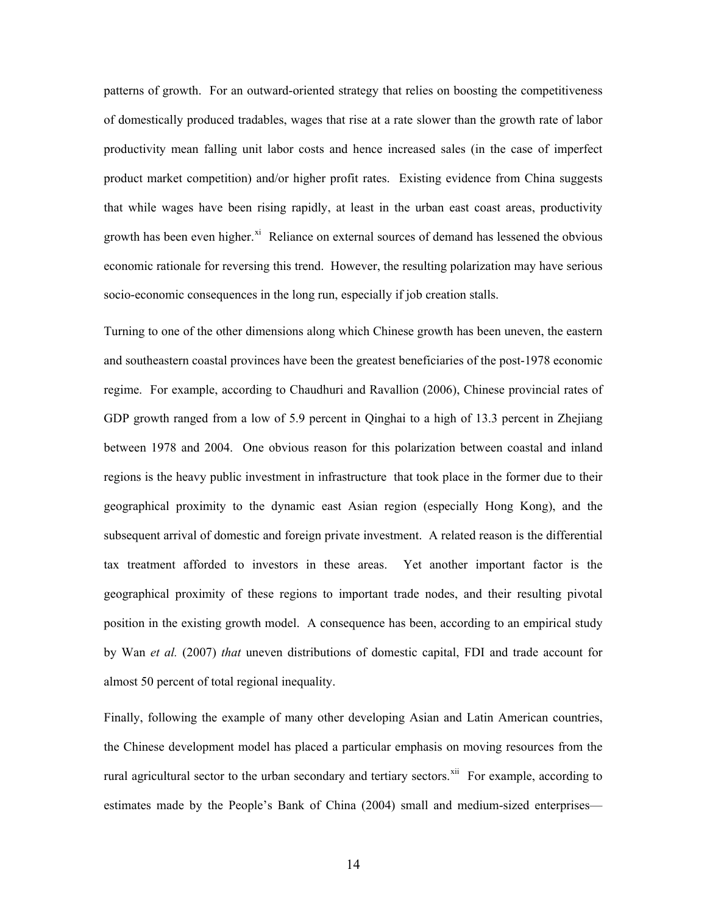patterns of growth. For an outward-oriented strategy that relies on boosting the competitiveness of domestically produced tradables, wages that rise at a rate slower than the growth rate of labor productivity mean falling unit labor costs and hence increased sales (in the case of imperfect product market competition) and/or higher profit rates. Existing evidence from China suggests that while wages have been rising rapidly, at least in the urban east coast areas, productivity growth has been even higher.<sup>[xi](#page-32-1)</sup> Reliance on external sources of demand has lessened the obvious economic rationale for reversing this trend. However, the resulting polarization may have serious socio-economic consequences in the long run, especially if job creation stalls.

Turning to one of the other dimensions along which Chinese growth has been uneven, the eastern and southeastern coastal provinces have been the greatest beneficiaries of the post-1978 economic regime. For example, according to Chaudhuri and Ravallion (2006), Chinese provincial rates of GDP growth ranged from a low of 5.9 percent in Qinghai to a high of 13.3 percent in Zhejiang between 1978 and 2004. One obvious reason for this polarization between coastal and inland regions is the heavy public investment in infrastructure that took place in the former due to their geographical proximity to the dynamic east Asian region (especially Hong Kong), and the subsequent arrival of domestic and foreign private investment. A related reason is the differential tax treatment afforded to investors in these areas. Yet another important factor is the geographical proximity of these regions to important trade nodes, and their resulting pivotal position in the existing growth model. A consequence has been, according to an empirical study by Wan *et al.* (2007) *that* uneven distributions of domestic capital, FDI and trade account for almost 50 percent of total regional inequality.

Finally, following the example of many other developing Asian and Latin American countries, the Chinese development model has placed a particular emphasis on moving resources from the rural agricultural sector to the urban secondary and tertiary sectors.<sup>[xii](#page-32-1)</sup> For example, according to estimates made by the People's Bank of China (2004) small and medium-sized enterprises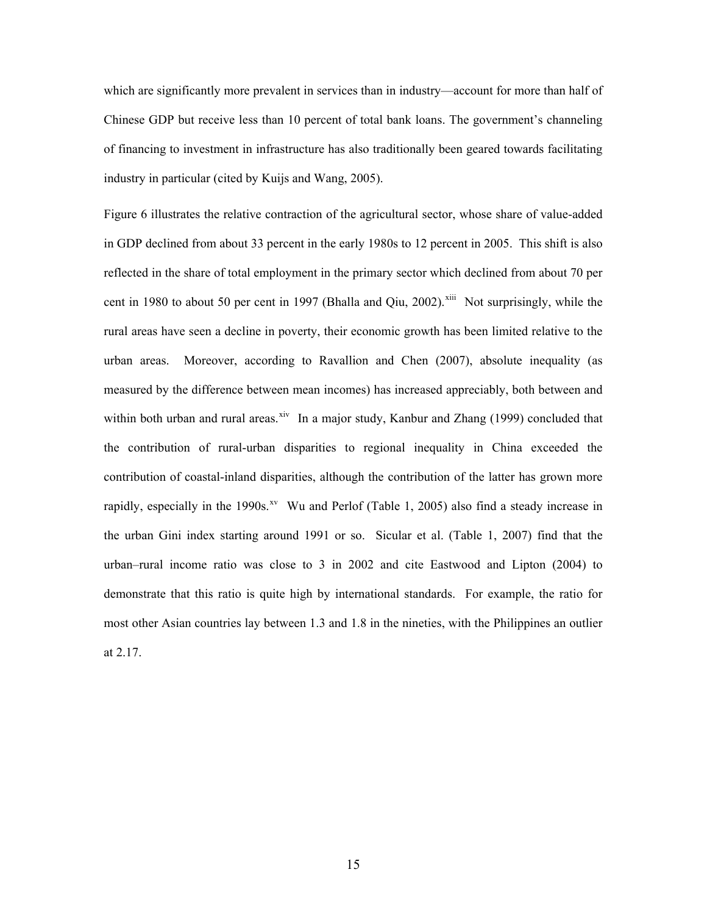which are significantly more prevalent in services than in industry—account for more than half of Chinese GDP but receive less than 10 percent of total bank loans. The government's channeling of financing to investment in infrastructure has also traditionally been geared towards facilitating industry in particular (cited by Kuijs and Wang, 2005).

Figure 6 illustrates the relative contraction of the agricultural sector, whose share of value-added in GDP declined from about 33 percent in the early 1980s to 12 percent in 2005. This shift is also reflected in the share of total employment in the primary sector which declined from about 70 per cent in 1980 to about 50 per cent in 1997 (Bhalla and Qiu, 2002).<sup>[xiii](#page-32-1)</sup> Not surprisingly, while the rural areas have seen a decline in poverty, their economic growth has been limited relative to the urban areas. Moreover, according to Ravallion and Chen (2007), absolute inequality (as measured by the difference between mean incomes) has increased appreciably, both between and within both urban and rural areas.<sup>[xiv](#page-32-1)</sup> In a major study, Kanbur and Zhang (1999) concluded that the contribution of rural-urban disparities to regional inequality in China exceeded the contribution of coastal-inland disparities, although the contribution of the latter has grown more rapidly, especially in the 1990s.<sup>[xv](#page-32-1)</sup> Wu and Perlof (Table 1, 2005) also find a steady increase in the urban Gini index starting around 1991 or so. Sicular et al. (Table 1, 2007) find that the urban–rural income ratio was close to 3 in 2002 and cite Eastwood and Lipton (2004) to demonstrate that this ratio is quite high by international standards. For example, the ratio for most other Asian countries lay between 1.3 and 1.8 in the nineties, with the Philippines an outlier at 2.17.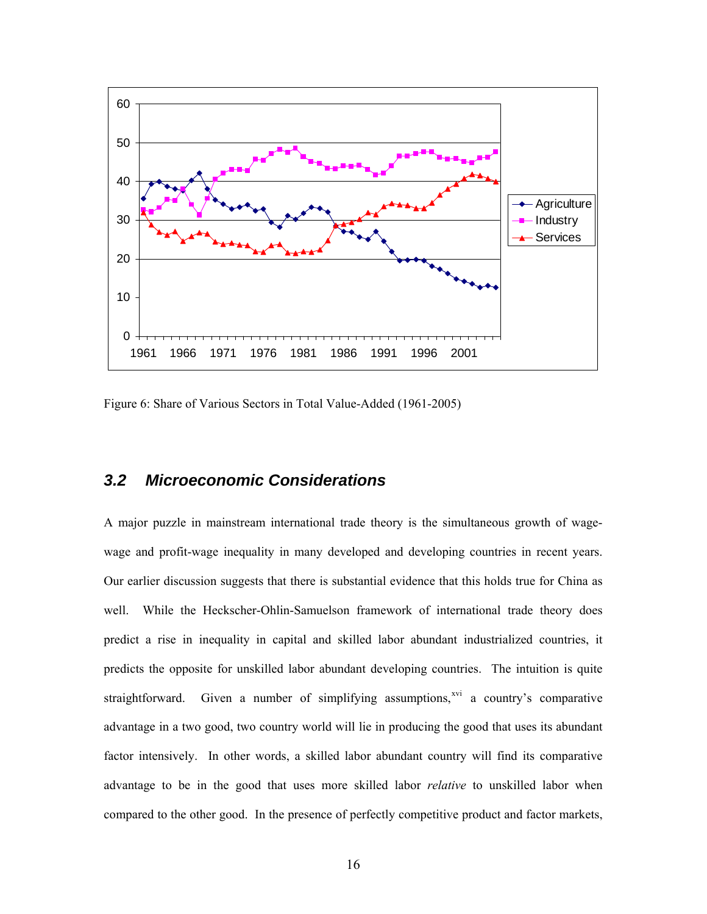

Figure 6: Share of Various Sectors in Total Value-Added (1961-2005)

#### *3.2 Microeconomic Considerations*

A major puzzle in mainstream international trade theory is the simultaneous growth of wagewage and profit-wage inequality in many developed and developing countries in recent years. Our earlier discussion suggests that there is substantial evidence that this holds true for China as well. While the Heckscher-Ohlin-Samuelson framework of international trade theory does predict a rise in inequality in capital and skilled labor abundant industrialized countries, it predicts the opposite for unskilled labor abundant developing countries. The intuition is quite straightforward. Given a number of simplifying assumptions, $x^{x}$  a country's comparative advantage in a two good, two country world will lie in producing the good that uses its abundant factor intensively. In other words, a skilled labor abundant country will find its comparative advantage to be in the good that uses more skilled labor *relative* to unskilled labor when compared to the other good. In the presence of perfectly competitive product and factor markets,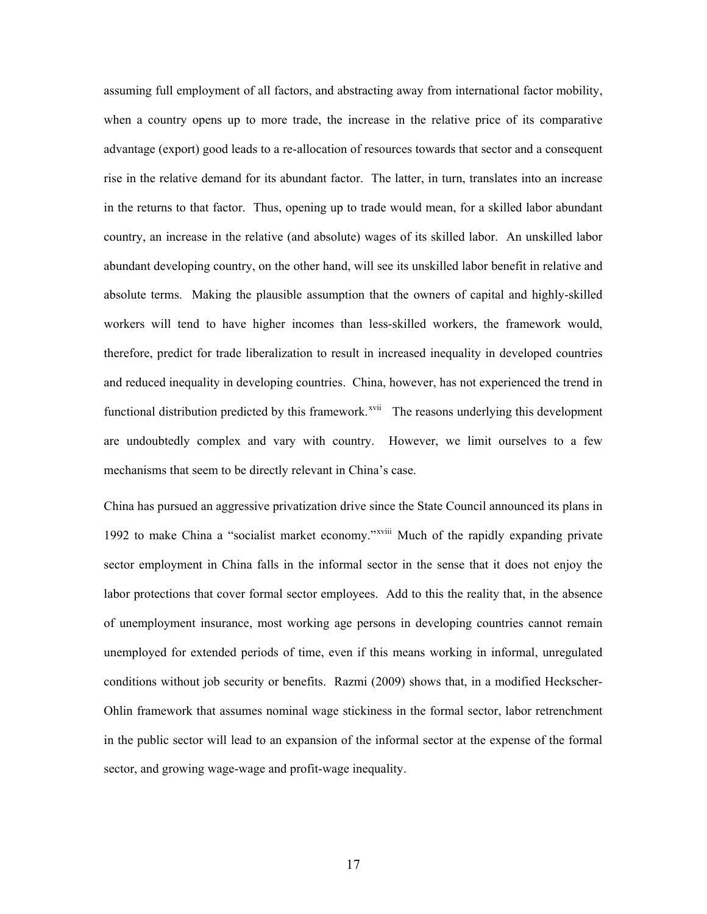assuming full employment of all factors, and abstracting away from international factor mobility, when a country opens up to more trade, the increase in the relative price of its comparative advantage (export) good leads to a re-allocation of resources towards that sector and a consequent rise in the relative demand for its abundant factor. The latter, in turn, translates into an increase in the returns to that factor. Thus, opening up to trade would mean, for a skilled labor abundant country, an increase in the relative (and absolute) wages of its skilled labor. An unskilled labor abundant developing country, on the other hand, will see its unskilled labor benefit in relative and absolute terms. Making the plausible assumption that the owners of capital and highly-skilled workers will tend to have higher incomes than less-skilled workers, the framework would, therefore, predict for trade liberalization to result in increased inequality in developed countries and reduced inequality in developing countries. China, however, has not experienced the trend in functional distribution predicted by this framework.<sup>[xvii](#page-32-1)</sup> The reasons underlying this development are undoubtedly complex and vary with country. However, we limit ourselves to a few mechanisms that seem to be directly relevant in China's case.

China has pursued an aggressive privatization drive since the State Council announced its plans in 1992 to make China a "socialist market economy."[xviii](#page-32-1) Much of the rapidly expanding private sector employment in China falls in the informal sector in the sense that it does not enjoy the labor protections that cover formal sector employees. Add to this the reality that, in the absence of unemployment insurance, most working age persons in developing countries cannot remain unemployed for extended periods of time, even if this means working in informal, unregulated conditions without job security or benefits. Razmi (2009) shows that, in a modified Heckscher-Ohlin framework that assumes nominal wage stickiness in the formal sector, labor retrenchment in the public sector will lead to an expansion of the informal sector at the expense of the formal sector, and growing wage-wage and profit-wage inequality.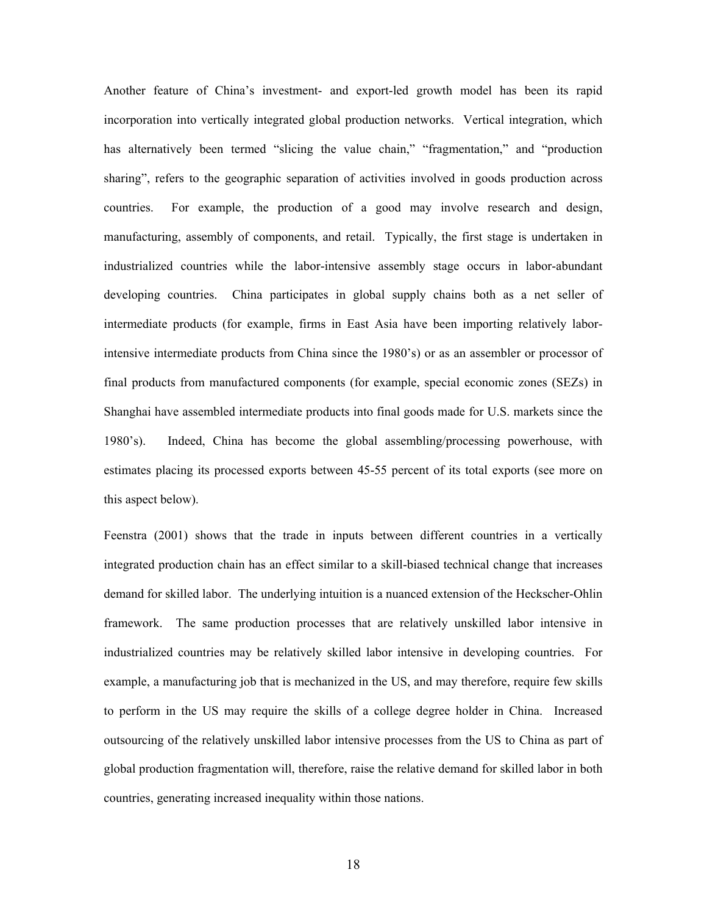Another feature of China's investment- and export-led growth model has been its rapid incorporation into vertically integrated global production networks. Vertical integration, which has alternatively been termed "slicing the value chain," "fragmentation," and "production sharing", refers to the geographic separation of activities involved in goods production across countries. For example, the production of a good may involve research and design, manufacturing, assembly of components, and retail. Typically, the first stage is undertaken in industrialized countries while the labor-intensive assembly stage occurs in labor-abundant developing countries. China participates in global supply chains both as a net seller of intermediate products (for example, firms in East Asia have been importing relatively laborintensive intermediate products from China since the 1980's) or as an assembler or processor of final products from manufactured components (for example, special economic zones (SEZs) in Shanghai have assembled intermediate products into final goods made for U.S. markets since the 1980's). Indeed, China has become the global assembling/processing powerhouse, with estimates placing its processed exports between 45-55 percent of its total exports (see more on this aspect below).

Feenstra (2001) shows that the trade in inputs between different countries in a vertically integrated production chain has an effect similar to a skill-biased technical change that increases demand for skilled labor. The underlying intuition is a nuanced extension of the Heckscher-Ohlin framework. The same production processes that are relatively unskilled labor intensive in industrialized countries may be relatively skilled labor intensive in developing countries. For example, a manufacturing job that is mechanized in the US, and may therefore, require few skills to perform in the US may require the skills of a college degree holder in China. Increased outsourcing of the relatively unskilled labor intensive processes from the US to China as part of global production fragmentation will, therefore, raise the relative demand for skilled labor in both countries, generating increased inequality within those nations.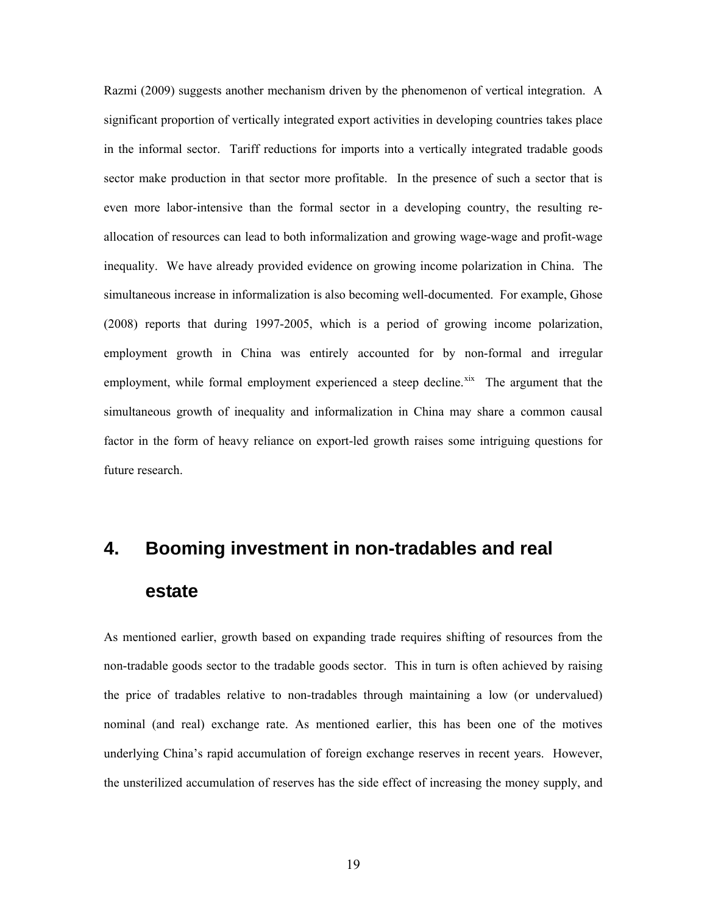Razmi (2009) suggests another mechanism driven by the phenomenon of vertical integration. A significant proportion of vertically integrated export activities in developing countries takes place in the informal sector. Tariff reductions for imports into a vertically integrated tradable goods sector make production in that sector more profitable. In the presence of such a sector that is even more labor-intensive than the formal sector in a developing country, the resulting reallocation of resources can lead to both informalization and growing wage-wage and profit-wage inequality. We have already provided evidence on growing income polarization in China. The simultaneous increase in informalization is also becoming well-documented. For example, Ghose (2008) reports that during 1997-2005, which is a period of growing income polarization, employment growth in China was entirely accounted for by non-formal and irregular employment, while formal employment experienced a steep decline.<sup>[xix](#page-32-1)</sup> The argument that the simultaneous growth of inequality and informalization in China may share a common causal factor in the form of heavy reliance on export-led growth raises some intriguing questions for future research.

## **4. Booming investment in non-tradables and real estate**

As mentioned earlier, growth based on expanding trade requires shifting of resources from the non-tradable goods sector to the tradable goods sector. This in turn is often achieved by raising the price of tradables relative to non-tradables through maintaining a low (or undervalued) nominal (and real) exchange rate. As mentioned earlier, this has been one of the motives underlying China's rapid accumulation of foreign exchange reserves in recent years. However, the unsterilized accumulation of reserves has the side effect of increasing the money supply, and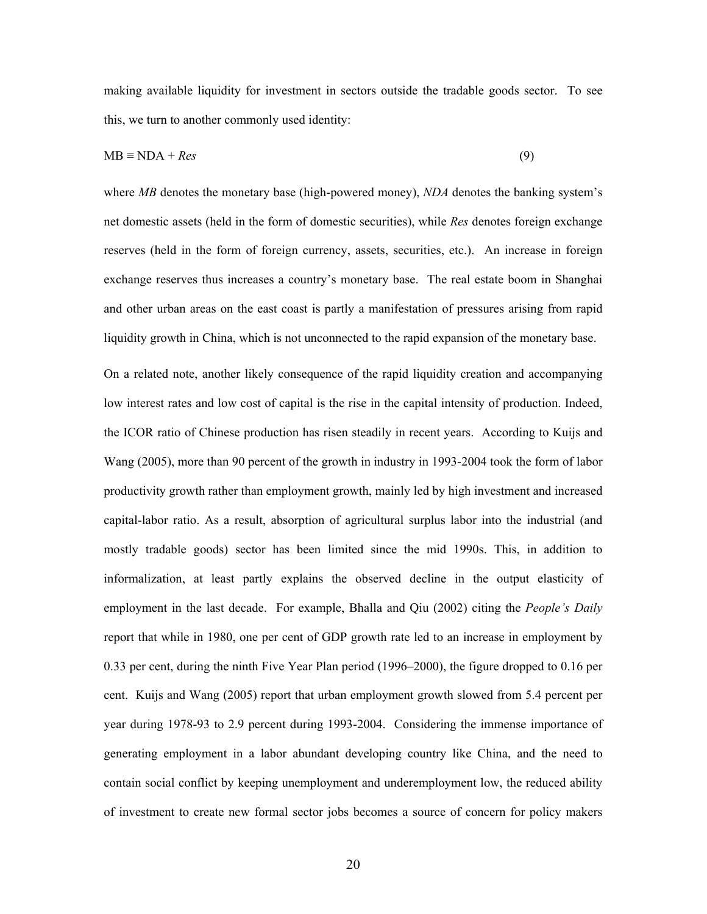making available liquidity for investment in sectors outside the tradable goods sector. To see this, we turn to another commonly used identity:

$$
MB \equiv NDA + Res
$$
 (9)

where *MB* denotes the monetary base (high-powered money), *NDA* denotes the banking system's net domestic assets (held in the form of domestic securities), while *Res* denotes foreign exchange reserves (held in the form of foreign currency, assets, securities, etc.). An increase in foreign exchange reserves thus increases a country's monetary base. The real estate boom in Shanghai and other urban areas on the east coast is partly a manifestation of pressures arising from rapid liquidity growth in China, which is not unconnected to the rapid expansion of the monetary base.

On a related note, another likely consequence of the rapid liquidity creation and accompanying low interest rates and low cost of capital is the rise in the capital intensity of production. Indeed, the ICOR ratio of Chinese production has risen steadily in recent years. According to Kuijs and Wang (2005), more than 90 percent of the growth in industry in 1993-2004 took the form of labor productivity growth rather than employment growth, mainly led by high investment and increased capital-labor ratio. As a result, absorption of agricultural surplus labor into the industrial (and mostly tradable goods) sector has been limited since the mid 1990s. This, in addition to informalization, at least partly explains the observed decline in the output elasticity of employment in the last decade. For example, Bhalla and Qiu (2002) citing the *People's Daily*  report that while in 1980, one per cent of GDP growth rate led to an increase in employment by 0.33 per cent, during the ninth Five Year Plan period (1996–2000), the figure dropped to 0.16 per cent. Kuijs and Wang (2005) report that urban employment growth slowed from 5.4 percent per year during 1978-93 to 2.9 percent during 1993-2004. Considering the immense importance of generating employment in a labor abundant developing country like China, and the need to contain social conflict by keeping unemployment and underemployment low, the reduced ability of investment to create new formal sector jobs becomes a source of concern for policy makers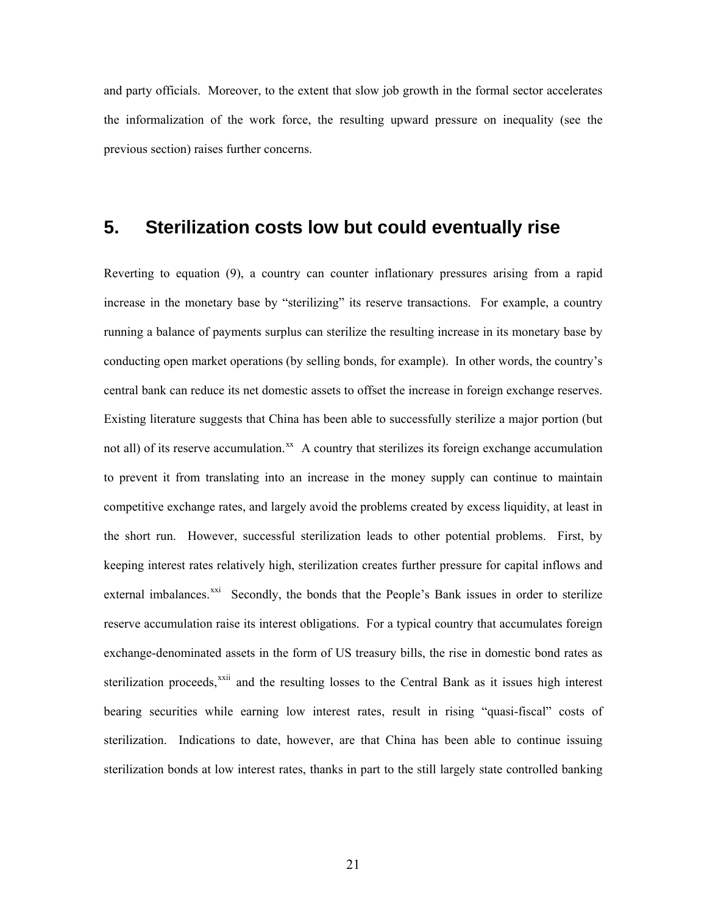and party officials. Moreover, to the extent that slow job growth in the formal sector accelerates the informalization of the work force, the resulting upward pressure on inequality (see the previous section) raises further concerns.

#### **5. Sterilization costs low but could eventually rise**

Reverting to equation (9), a country can counter inflationary pressures arising from a rapid increase in the monetary base by "sterilizing" its reserve transactions. For example, a country running a balance of payments surplus can sterilize the resulting increase in its monetary base by conducting open market operations (by selling bonds, for example). In other words, the country's central bank can reduce its net domestic assets to offset the increase in foreign exchange reserves. Existing literature suggests that China has been able to successfully sterilize a major portion (but not all) of its reserve accumulation. $^{xx}$  $^{xx}$  $^{xx}$  A country that sterilizes its foreign exchange accumulation to prevent it from translating into an increase in the money supply can continue to maintain competitive exchange rates, and largely avoid the problems created by excess liquidity, at least in the short run. However, successful sterilization leads to other potential problems. First, by keeping interest rates relatively high, sterilization creates further pressure for capital inflows and external imbalances.<sup>[xxi](#page-32-1)</sup> Secondly, the bonds that the People's Bank issues in order to sterilize reserve accumulation raise its interest obligations. For a typical country that accumulates foreign exchange-denominated assets in the form of US treasury bills, the rise in domestic bond rates as sterilization proceeds,<sup>[xxii](#page-32-1)</sup> and the resulting losses to the Central Bank as it issues high interest bearing securities while earning low interest rates, result in rising "quasi-fiscal" costs of sterilization. Indications to date, however, are that China has been able to continue issuing sterilization bonds at low interest rates, thanks in part to the still largely state controlled banking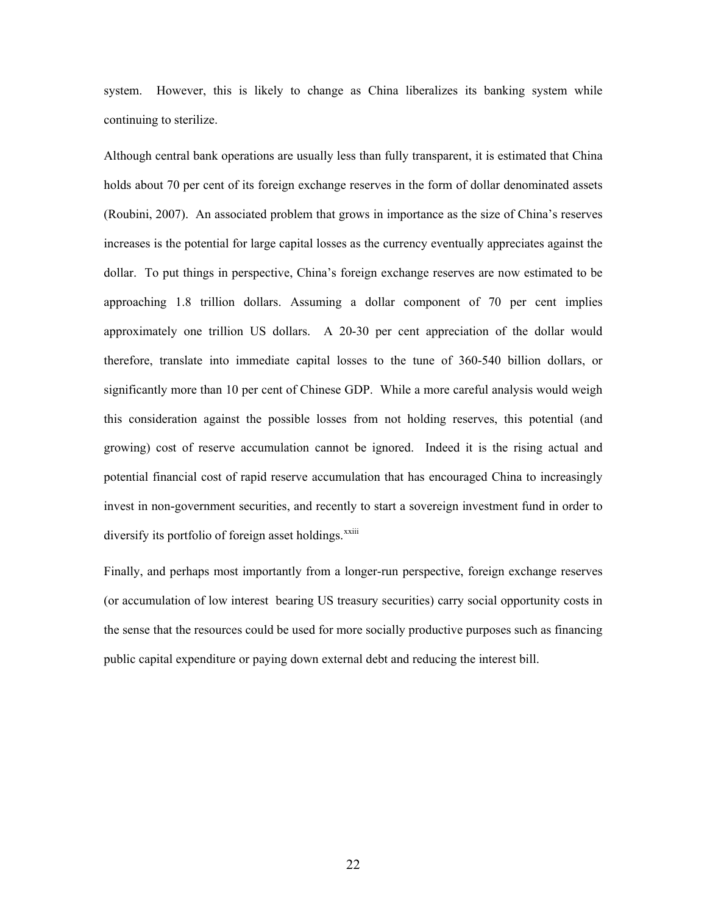system. However, this is likely to change as China liberalizes its banking system while continuing to sterilize.

Although central bank operations are usually less than fully transparent, it is estimated that China holds about 70 per cent of its foreign exchange reserves in the form of dollar denominated assets (Roubini, 2007). An associated problem that grows in importance as the size of China's reserves increases is the potential for large capital losses as the currency eventually appreciates against the dollar. To put things in perspective, China's foreign exchange reserves are now estimated to be approaching 1.8 trillion dollars. Assuming a dollar component of 70 per cent implies approximately one trillion US dollars. A 20-30 per cent appreciation of the dollar would therefore, translate into immediate capital losses to the tune of 360-540 billion dollars, or significantly more than 10 per cent of Chinese GDP. While a more careful analysis would weigh this consideration against the possible losses from not holding reserves, this potential (and growing) cost of reserve accumulation cannot be ignored. Indeed it is the rising actual and potential financial cost of rapid reserve accumulation that has encouraged China to increasingly invest in non-government securities, and recently to start a sovereign investment fund in order to diversify its portfolio of foreign asset holdings. $^{xxiii}$  $^{xxiii}$  $^{xxiii}$ 

Finally, and perhaps most importantly from a longer-run perspective, foreign exchange reserves (or accumulation of low interest bearing US treasury securities) carry social opportunity costs in the sense that the resources could be used for more socially productive purposes such as financing public capital expenditure or paying down external debt and reducing the interest bill.

22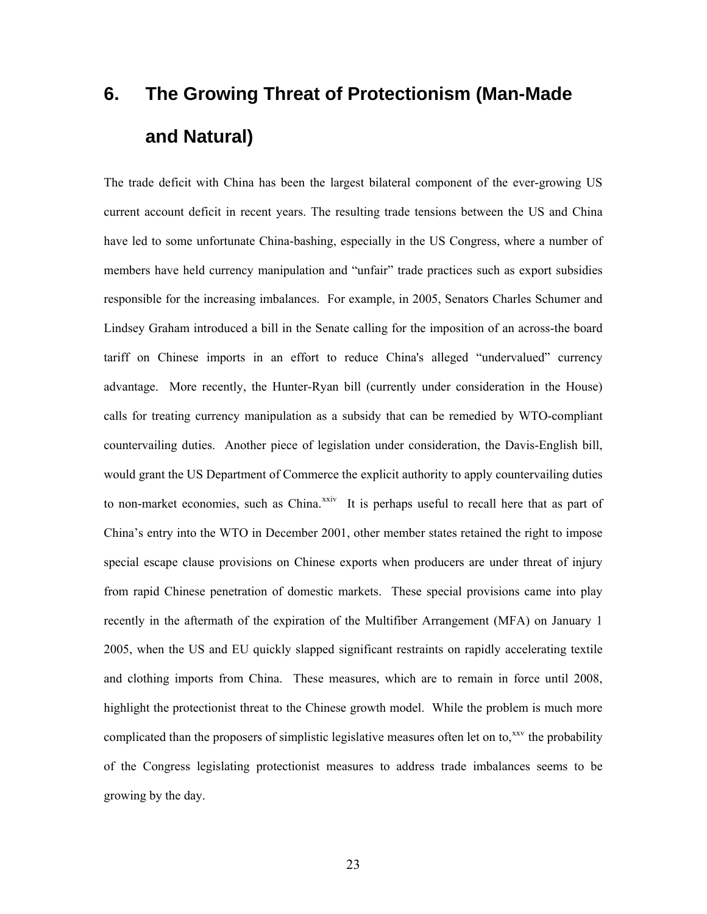## **6. The Growing Threat of Protectionism (Man-Made and Natural)**

The trade deficit with China has been the largest bilateral component of the ever-growing US current account deficit in recent years. The resulting trade tensions between the US and China have led to some unfortunate China-bashing, especially in the US Congress, where a number of members have held currency manipulation and "unfair" trade practices such as export subsidies responsible for the increasing imbalances. For example, in 2005, Senators Charles Schumer and Lindsey Graham introduced a bill in the Senate calling for the imposition of an across-the board tariff on Chinese imports in an effort to reduce China's alleged "undervalued" currency advantage. More recently, the Hunter-Ryan bill (currently under consideration in the House) calls for treating currency manipulation as a subsidy that can be remedied by WTO-compliant countervailing duties. Another piece of legislation under consideration, the Davis-English bill, would grant the US Department of Commerce the explicit authority to apply countervailing duties to non-market economies, such as China. $x^{xiv}$  It is perhaps useful to recall here that as part of China's entry into the WTO in December 2001, other member states retained the right to impose special escape clause provisions on Chinese exports when producers are under threat of injury from rapid Chinese penetration of domestic markets. These special provisions came into play recently in the aftermath of the expiration of the Multifiber Arrangement (MFA) on January 1 2005, when the US and EU quickly slapped significant restraints on rapidly accelerating textile and clothing imports from China. These measures, which are to remain in force until 2008, highlight the protectionist threat to the Chinese growth model. While the problem is much more complicated than the proposers of simplistic legislative measures often let on to,<sup>[xxv](#page-32-1)</sup> the probability of the Congress legislating protectionist measures to address trade imbalances seems to be growing by the day.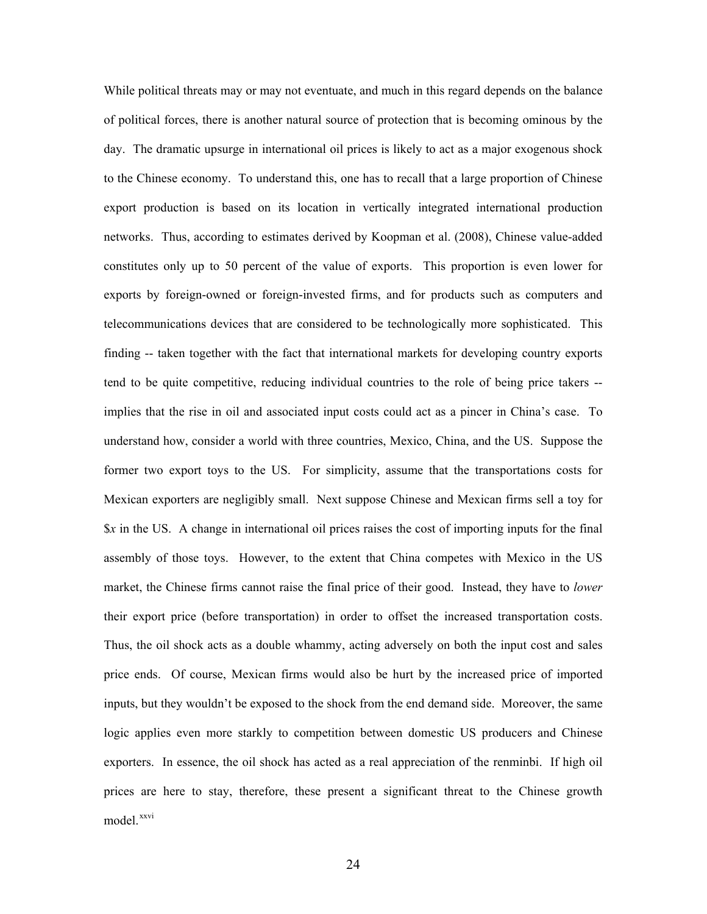While political threats may or may not eventuate, and much in this regard depends on the balance of political forces, there is another natural source of protection that is becoming ominous by the day. The dramatic upsurge in international oil prices is likely to act as a major exogenous shock to the Chinese economy. To understand this, one has to recall that a large proportion of Chinese export production is based on its location in vertically integrated international production networks. Thus, according to estimates derived by Koopman et al. (2008), Chinese value-added constitutes only up to 50 percent of the value of exports. This proportion is even lower for exports by foreign-owned or foreign-invested firms, and for products such as computers and telecommunications devices that are considered to be technologically more sophisticated. This finding -- taken together with the fact that international markets for developing country exports tend to be quite competitive, reducing individual countries to the role of being price takers - implies that the rise in oil and associated input costs could act as a pincer in China's case. To understand how, consider a world with three countries, Mexico, China, and the US. Suppose the former two export toys to the US. For simplicity, assume that the transportations costs for Mexican exporters are negligibly small. Next suppose Chinese and Mexican firms sell a toy for \$*x* in the US. A change in international oil prices raises the cost of importing inputs for the final assembly of those toys. However, to the extent that China competes with Mexico in the US market, the Chinese firms cannot raise the final price of their good. Instead, they have to *lower* their export price (before transportation) in order to offset the increased transportation costs. Thus, the oil shock acts as a double whammy, acting adversely on both the input cost and sales price ends. Of course, Mexican firms would also be hurt by the increased price of imported inputs, but they wouldn't be exposed to the shock from the end demand side. Moreover, the same logic applies even more starkly to competition between domestic US producers and Chinese exporters. In essence, the oil shock has acted as a real appreciation of the renminbi. If high oil prices are here to stay, therefore, these present a significant threat to the Chinese growth model.<sup>[xxvi](#page-32-1)</sup>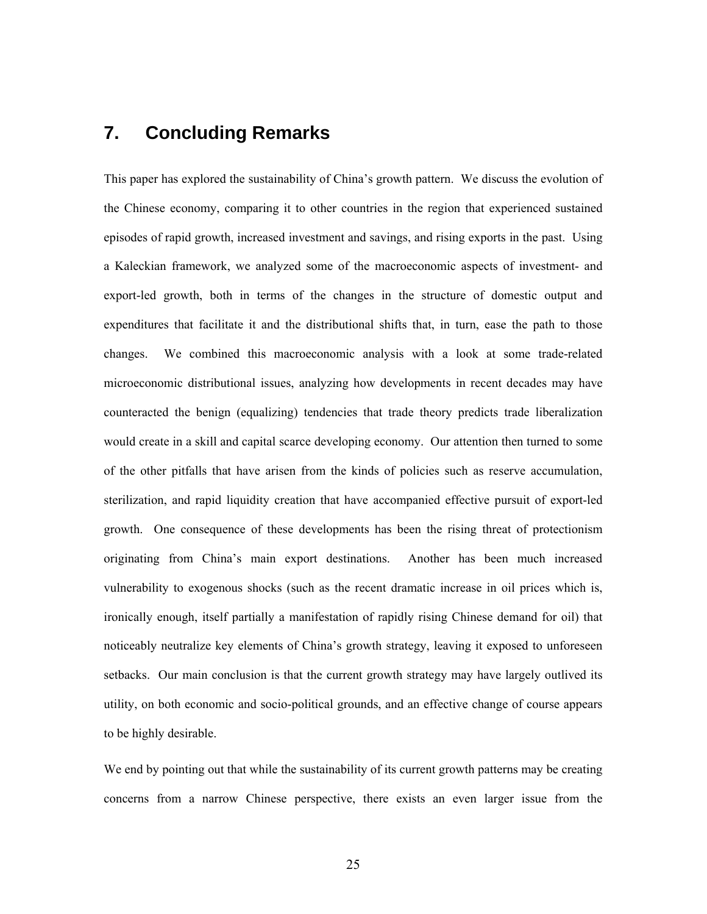#### **7. Concluding Remarks**

This paper has explored the sustainability of China's growth pattern. We discuss the evolution of the Chinese economy, comparing it to other countries in the region that experienced sustained episodes of rapid growth, increased investment and savings, and rising exports in the past. Using a Kaleckian framework, we analyzed some of the macroeconomic aspects of investment- and export-led growth, both in terms of the changes in the structure of domestic output and expenditures that facilitate it and the distributional shifts that, in turn, ease the path to those changes. We combined this macroeconomic analysis with a look at some trade-related microeconomic distributional issues, analyzing how developments in recent decades may have counteracted the benign (equalizing) tendencies that trade theory predicts trade liberalization would create in a skill and capital scarce developing economy. Our attention then turned to some of the other pitfalls that have arisen from the kinds of policies such as reserve accumulation, sterilization, and rapid liquidity creation that have accompanied effective pursuit of export-led growth. One consequence of these developments has been the rising threat of protectionism originating from China's main export destinations. Another has been much increased vulnerability to exogenous shocks (such as the recent dramatic increase in oil prices which is, ironically enough, itself partially a manifestation of rapidly rising Chinese demand for oil) that noticeably neutralize key elements of China's growth strategy, leaving it exposed to unforeseen setbacks. Our main conclusion is that the current growth strategy may have largely outlived its utility, on both economic and socio-political grounds, and an effective change of course appears to be highly desirable.

We end by pointing out that while the sustainability of its current growth patterns may be creating concerns from a narrow Chinese perspective, there exists an even larger issue from the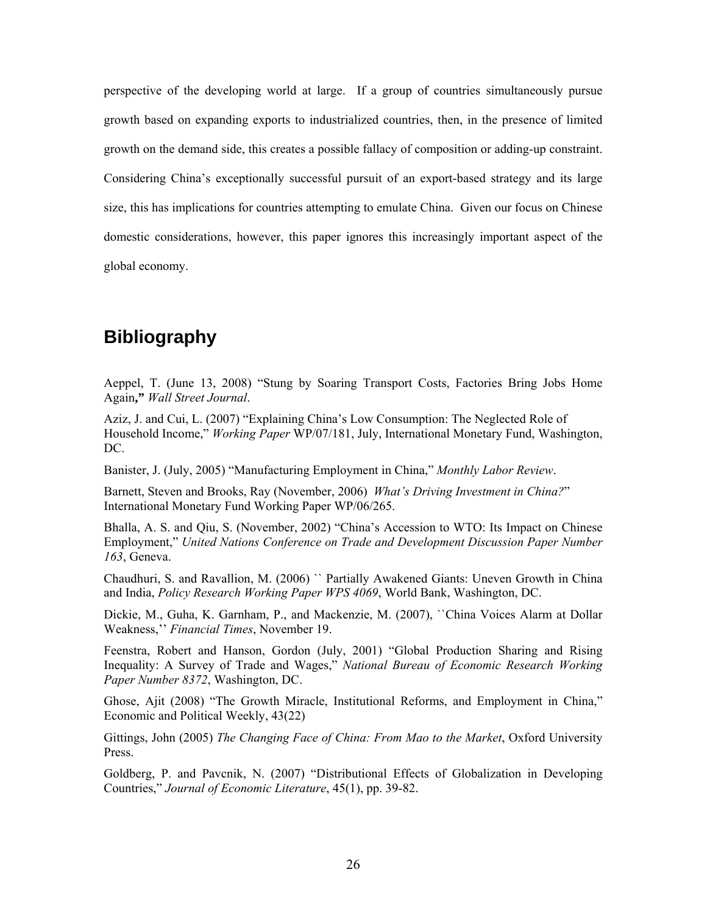perspective of the developing world at large. If a group of countries simultaneously pursue growth based on expanding exports to industrialized countries, then, in the presence of limited growth on the demand side, this creates a possible fallacy of composition or adding-up constraint. Considering China's exceptionally successful pursuit of an export-based strategy and its large size, this has implications for countries attempting to emulate China. Given our focus on Chinese domestic considerations, however, this paper ignores this increasingly important aspect of the global economy.

## **Bibliography**

Aeppel, T. (June 13, 2008) "Stung by Soaring Transport Costs, Factories Bring Jobs Home Again**,"** *Wall Street Journal*.

Aziz, J. and Cui, L. (2007) "Explaining China's Low Consumption: The Neglected Role of Household Income," *Working Paper* WP/07/181, July, International Monetary Fund, Washington, DC.

Banister, J. (July, 2005) "Manufacturing Employment in China," *Monthly Labor Review*.

Barnett, Steven and Brooks, Ray (November, 2006) *What's Driving Investment in China?*" International Monetary Fund Working Paper WP/06/265.

Bhalla, A. S. and Qiu, S. (November, 2002) "China's Accession to WTO: Its Impact on Chinese Employment," *United Nations Conference on Trade and Development Discussion Paper Number 163*, Geneva.

Chaudhuri, S. and Ravallion, M. (2006) `` Partially Awakened Giants: Uneven Growth in China and India, *Policy Research Working Paper WPS 4069*, World Bank, Washington, DC.

Dickie, M., Guha, K. Garnham, P., and Mackenzie, M. (2007), ``China Voices Alarm at Dollar Weakness,'' *Financial Times*, November 19.

Feenstra, Robert and Hanson, Gordon (July, 2001) "Global Production Sharing and Rising Inequality: A Survey of Trade and Wages," *National Bureau of Economic Research Working Paper Number 8372*, Washington, DC.

Ghose, Ajit (2008) "The Growth Miracle, Institutional Reforms, and Employment in China," Economic and Political Weekly, 43(22)

Gittings, John (2005) *The Changing Face of China: From Mao to the Market*, Oxford University Press.

Goldberg, P. and Pavcnik, N. (2007) "Distributional Effects of Globalization in Developing Countries," *Journal of Economic Literature*, 45(1), pp. 39-82.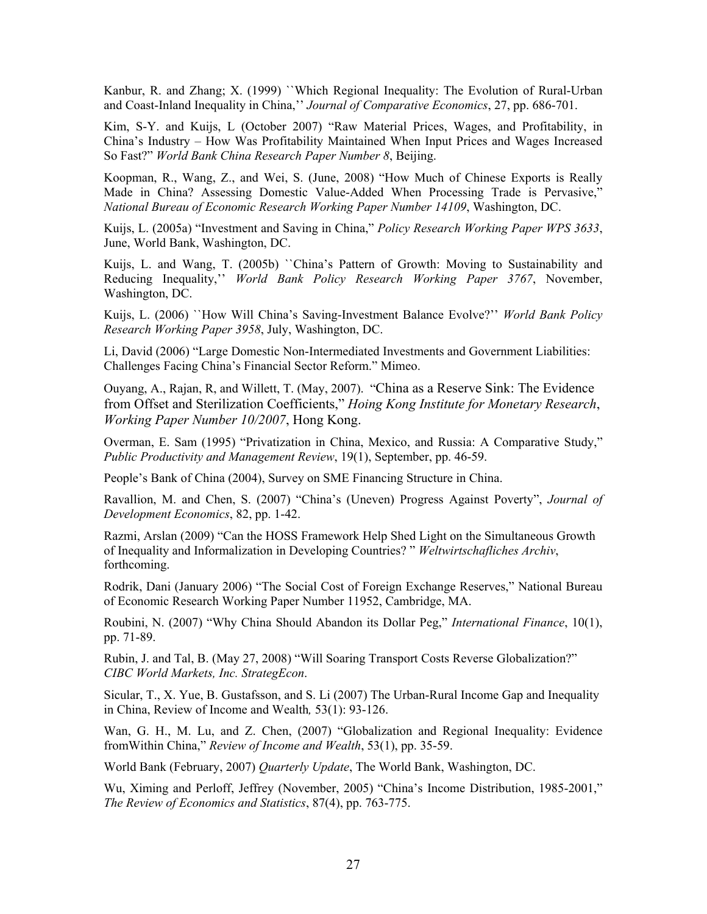Kanbur, R. and Zhang; X. (1999) ``Which Regional Inequality: The Evolution of Rural-Urban and Coast-Inland Inequality in China,'' *Journal of Comparative Economics*, 27, pp. 686-701.

Kim, S-Y. and Kuijs, L (October 2007) "Raw Material Prices, Wages, and Profitability, in China's Industry – How Was Profitability Maintained When Input Prices and Wages Increased So Fast?" *World Bank China Research Paper Number 8*, Beijing.

Koopman, R., Wang, Z., and Wei, S. (June, 2008) "How Much of Chinese Exports is Really Made in China? Assessing Domestic Value-Added When Processing Trade is Pervasive," *National Bureau of Economic Research Working Paper Number 14109*, Washington, DC.

Kuijs, L. (2005a) "Investment and Saving in China," *Policy Research Working Paper WPS 3633*, June, World Bank, Washington, DC.

Kuijs, L. and Wang, T. (2005b) ``China's Pattern of Growth: Moving to Sustainability and Reducing Inequality,'' *World Bank Policy Research Working Paper 3767*, November, Washington, DC.

Kuijs, L. (2006) ``How Will China's Saving-Investment Balance Evolve?'' *World Bank Policy Research Working Paper 3958*, July, Washington, DC.

Li, David (2006) "Large Domestic Non-Intermediated Investments and Government Liabilities: Challenges Facing China's Financial Sector Reform." Mimeo.

Ouyang, A., Rajan, R, and Willett, T. (May, 2007). "China as a Reserve Sink: The Evidence from Offset and Sterilization Coefficients," *Hoing Kong Institute for Monetary Research*, *Working Paper Number 10/2007*, Hong Kong.

Overman, E. Sam (1995) "Privatization in China, Mexico, and Russia: A Comparative Study," *Public Productivity and Management Review*, 19(1), September, pp. 46-59.

People's Bank of China (2004), Survey on SME Financing Structure in China.

Ravallion, M. and Chen, S. (2007) "China's (Uneven) Progress Against Poverty", *Journal of Development Economics*, 82, pp. 1-42.

Razmi, Arslan (2009) "Can the HOSS Framework Help Shed Light on the Simultaneous Growth of Inequality and Informalization in Developing Countries? " *Weltwirtschafliches Archiv*, forthcoming.

Rodrik, Dani (January 2006) "The Social Cost of Foreign Exchange Reserves," National Bureau of Economic Research Working Paper Number 11952, Cambridge, MA.

Roubini, N. (2007) "Why China Should Abandon its Dollar Peg," *International Finance*, 10(1), pp. 71-89.

Rubin, J. and Tal, B. (May 27, 2008) "Will Soaring Transport Costs Reverse Globalization?" *CIBC World Markets, Inc. StrategEcon*.

Sicular, T., X. Yue, B. Gustafsson, and S. Li (2007) The Urban-Rural Income Gap and Inequality in China, Review of Income and Wealth*,* 53(1): 93-126.

Wan, G. H., M. Lu, and Z. Chen, (2007) "Globalization and Regional Inequality: Evidence fromWithin China," *Review of Income and Wealth*, 53(1), pp. 35-59.

World Bank (February, 2007) *Quarterly Update*, The World Bank, Washington, DC.

Wu, Ximing and Perloff, Jeffrey (November, 2005) "China's Income Distribution, 1985-2001," *The Review of Economics and Statistics*, 87(4), pp. 763-775.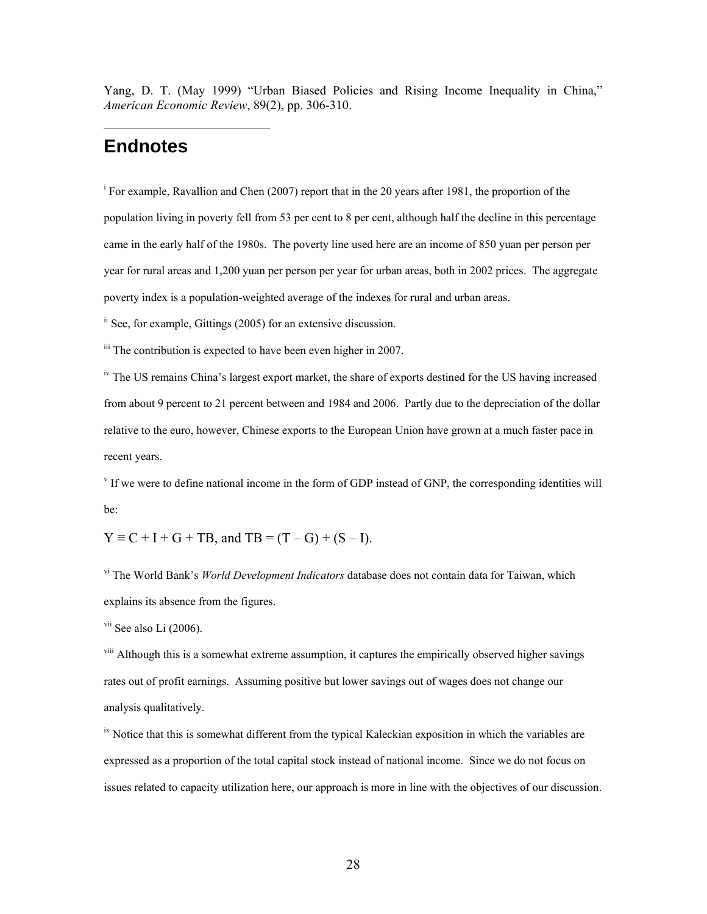Yang, D. T. (May 1999) "Urban Biased Policies and Rising Income Inequality in China," *American Economic Review*, 89(2), pp. 306-310.

#### **Endnotes**

 $\overline{a}$ 

<sup>i</sup> For example, Ravallion and Chen (2007) report that in the 20 years after 1981, the proportion of the population living in poverty fell from 53 per cent to 8 per cent, although half the decline in this percentage came in the early half of the 1980s. The poverty line used here are an income of 850 yuan per person per year for rural areas and 1,200 yuan per person per year for urban areas, both in 2002 prices. The aggregate poverty index is a population-weighted average of the indexes for rural and urban areas.

ii See, for example, Gittings (2005) for an extensive discussion.

 $\ddot{\text{m}}$  The contribution is expected to have been even higher in 2007.

<sup>iv</sup> The US remains China's largest export market, the share of exports destined for the US having increased from about 9 percent to 21 percent between and 1984 and 2006. Partly due to the depreciation of the dollar relative to the euro, however, Chinese exports to the European Union have grown at a much faster pace in recent years.

v If we were to define national income in the form of GDP instead of GNP, the corresponding identities will be:

 $Y \equiv C + I + G + TB$ , and  $TB = (T - G) + (S - I)$ .

vi The World Bank's *World Development Indicators* database does not contain data for Taiwan, which explains its absence from the figures.

 $\frac{v_{\text{ii}}}{2006}$ .

<sup>viii</sup> Although this is a somewhat extreme assumption, it captures the empirically observed higher savings rates out of profit earnings. Assuming positive but lower savings out of wages does not change our analysis qualitatively.

 $\frac{dx}{dt}$  Notice that this is somewhat different from the typical Kaleckian exposition in which the variables are expressed as a proportion of the total capital stock instead of national income. Since we do not focus on issues related to capacity utilization here, our approach is more in line with the objectives of our discussion.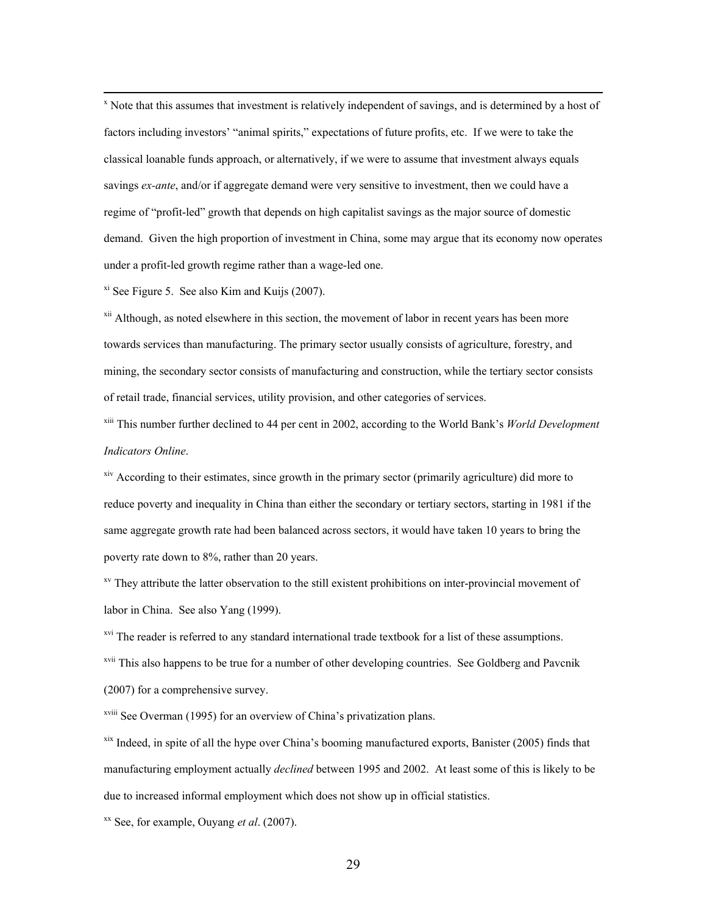$\frac{1}{x}$  $x$  Note that this assumes that investment is relatively independent of savings, and is determined by a host of factors including investors' "animal spirits," expectations of future profits, etc. If we were to take the classical loanable funds approach, or alternatively, if we were to assume that investment always equals savings *ex-ante*, and/or if aggregate demand were very sensitive to investment, then we could have a regime of "profit-led" growth that depends on high capitalist savings as the major source of domestic demand. Given the high proportion of investment in China, some may argue that its economy now operates under a profit-led growth regime rather than a wage-led one.

 $\frac{x}{x}$  See Figure 5. See also Kim and Kuijs (2007).

<sup>xii</sup> Although, as noted elsewhere in this section, the movement of labor in recent years has been more towards services than manufacturing. The primary sector usually consists of agriculture, forestry, and mining, the secondary sector consists of manufacturing and construction, while the tertiary sector consists of retail trade, financial services, utility provision, and other categories of services.

xiii This number further declined to 44 per cent in 2002, according to the World Bank's *World Development Indicators Online*.

<sup>xiv</sup> According to their estimates, since growth in the primary sector (primarily agriculture) did more to reduce poverty and inequality in China than either the secondary or tertiary sectors, starting in 1981 if the same aggregate growth rate had been balanced across sectors, it would have taken 10 years to bring the poverty rate down to 8%, rather than 20 years.

<sup>xv</sup> They attribute the latter observation to the still existent prohibitions on inter-provincial movement of labor in China. See also Yang (1999).

<sup>xvi</sup> The reader is referred to any standard international trade textbook for a list of these assumptions. <sup>xvii</sup> This also happens to be true for a number of other developing countries. See Goldberg and Pavcnik (2007) for a comprehensive survey.

xviii See Overman (1995) for an overview of China's privatization plans.

 $x$ <sup>ix</sup> Indeed, in spite of all the hype over China's booming manufactured exports, Banister (2005) finds that manufacturing employment actually *declined* between 1995 and 2002. At least some of this is likely to be due to increased informal employment which does not show up in official statistics.

xx See, for example, Ouyang *et al*. (2007).